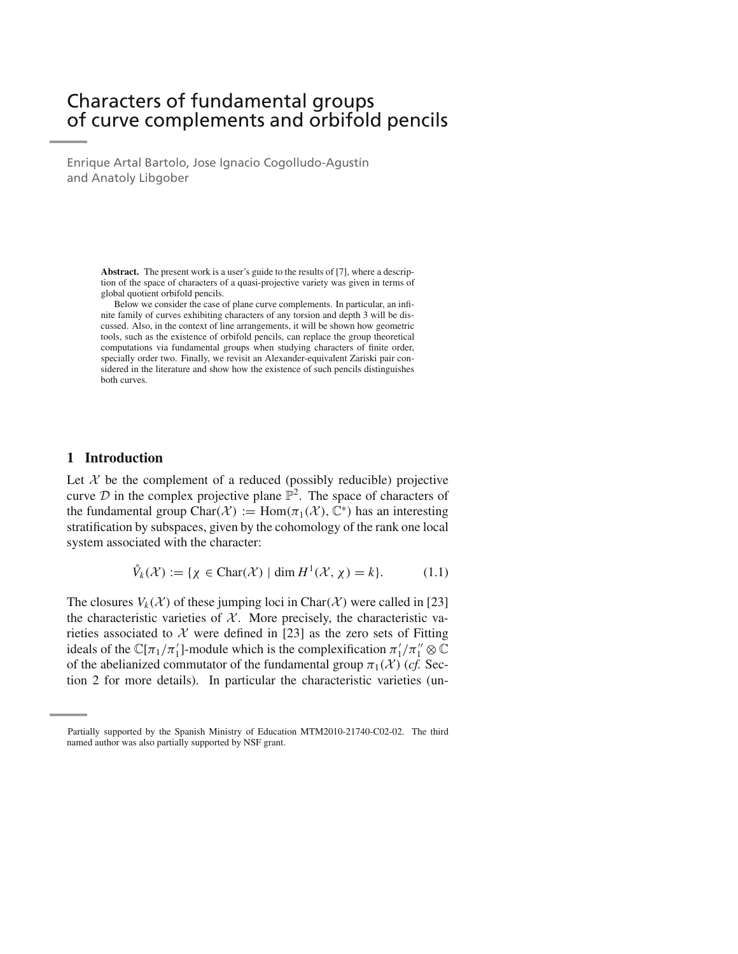# Characters of fundamental groups of curve complements and orbifold pencils

Enrique Artal Bartolo, Jose Ignacio Cogolludo-Agustín and Anatoly Libgober

> **Abstract.** The present work is a user's guide to the results of [7], where a description of the space of characters of a quasi-projective variety was given in terms of global quotient orbifold pencils.

> Below we consider the case of plane curve complements. In particular, an infinite family of curves exhibiting characters of any torsion and depth 3 will be discussed. Also, in the context of line arrangements, it will be shown how geometric tools, such as the existence of orbifold pencils, can replace the group theoretical computations via fundamental groups when studying characters of finite order, specially order two. Finally, we revisit an Alexander-equivalent Zariski pair considered in the literature and show how the existence of such pencils distinguishes both curves.

# **1 Introduction**

Let  $X$  be the complement of a reduced (possibly reducible) projective curve  $D$  in the complex projective plane  $\mathbb{P}^2$ . The space of characters of the fundamental group Char $(\mathcal{X}) := \text{Hom}(\pi_1(\mathcal{X}), \mathbb{C}^*)$  has an interesting stratification by subspaces, given by the cohomology of the rank one local system associated with the character:

$$
\mathring{V}_k(\mathcal{X}) := \{ \chi \in \text{Char}(\mathcal{X}) \mid \dim H^1(\mathcal{X}, \chi) = k \}. \tag{1.1}
$$

The closures  $V_k(\mathcal{X})$  of these jumping loci in Char $(\mathcal{X})$  were called in [23] the characteristic varieties of  $X$ . More precisely, the characteristic varieties associated to  $X$  were defined in [23] as the zero sets of Fitting ideals of the  $\mathbb{C}[\pi_1/\pi_1']$ -module which is the complexification  $\pi_1'/\pi_1'' \otimes \mathbb{C}$ of the abelianized commutator of the fundamental group  $\pi_1(\mathcal{X})$  (*cf.* Section 2 for more details). In particular the characteristic varieties (un-

Partially supported by the Spanish Ministry of Education MTM2010-21740-C02-02. The third named author was also partially supported by NSF grant.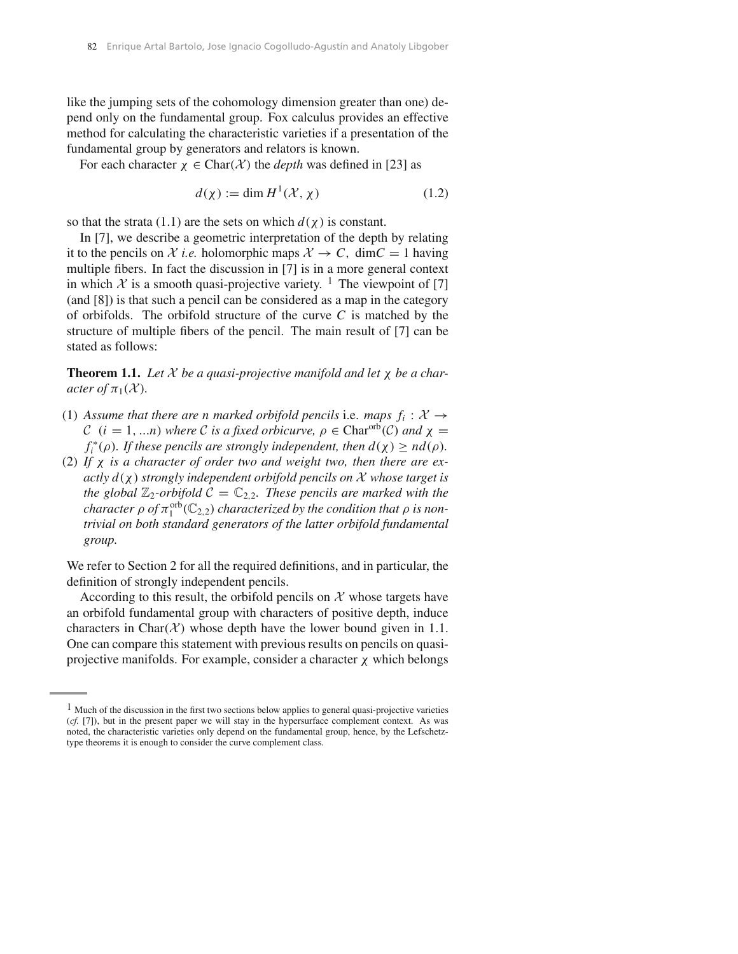like the jumping sets of the cohomology dimension greater than one) depend only on the fundamental group. Fox calculus provides an effective method for calculating the characteristic varieties if a presentation of the fundamental group by generators and relators is known.

For each character  $\chi \in \text{Char}(\mathcal{X})$  the *depth* was defined in [23] as

$$
d(\chi) := \dim H^1(\mathcal{X}, \chi) \tag{1.2}
$$

so that the strata (1.1) are the sets on which  $d(\chi)$  is constant.

In [7], we describe a geometric interpretation of the depth by relating it to the pencils on *X i.e.* holomorphic maps  $X \to C$ , dim $C = 1$  having multiple fibers. In fact the discussion in [7] is in a more general context in which  $\chi$  is a smooth quasi-projective variety. <sup>1</sup> The viewpoint of [7] (and [8]) is that such a pencil can be considered as a map in the category of orbifolds. The orbifold structure of the curve *C* is matched by the structure of multiple fibers of the pencil. The main result of [7] can be stated as follows:

**Theorem 1.1.** Let  $X$  be a quasi-projective manifold and let  $\chi$  be a char*acter of*  $\pi_1(\mathcal{X})$ *.* 

- (1) Assume that there are n marked orbifold pencils i.e. maps  $f_i : \mathcal{X} \rightarrow$  $C$  (*i* = 1, ...*n*) where *C is a fixed orbicurve,*  $\rho \in \text{Char}^{\text{orb}}(\mathcal{C})$  *and*  $\chi$  =  $f_i^*(\rho)$ *. If these pencils are strongly independent, then*  $d(\chi) \ge nd(\rho)$ *<i>.*
- (2) *If* χ *is a character of order two and weight two, then there are exactly d(*χ*) strongly independent orbifold pencils on X whose target is the global*  $\mathbb{Z}_2$ -orbifold  $C = \mathbb{C}_{2,2}$ *. These pencils are marked with the*  $\alpha$ *character*  $\rho$  *of*  $\pi_1^{\text{orb}}(\mathbb{C}_{2,2})$  *characterized by the condition that*  $\rho$  *is nontrivial on both standard generators of the latter orbifold fundamental group.*

We refer to Section 2 for all the required definitions, and in particular, the definition of strongly independent pencils.

According to this result, the orbifold pencils on  $X$  whose targets have an orbifold fundamental group with characters of positive depth, induce characters in Char $(X)$  whose depth have the lower bound given in 1.1. One can compare this statement with previous results on pencils on quasiprojective manifolds. For example, consider a character  $\chi$  which belongs

<sup>&</sup>lt;sup>1</sup> Much of the discussion in the first two sections below applies to general quasi-projective varieties (*cf.* [7]), but in the present paper we will stay in the hypersurface complement context. As was noted, the characteristic varieties only depend on the fundamental group, hence, by the Lefschetztype theorems it is enough to consider the curve complement class.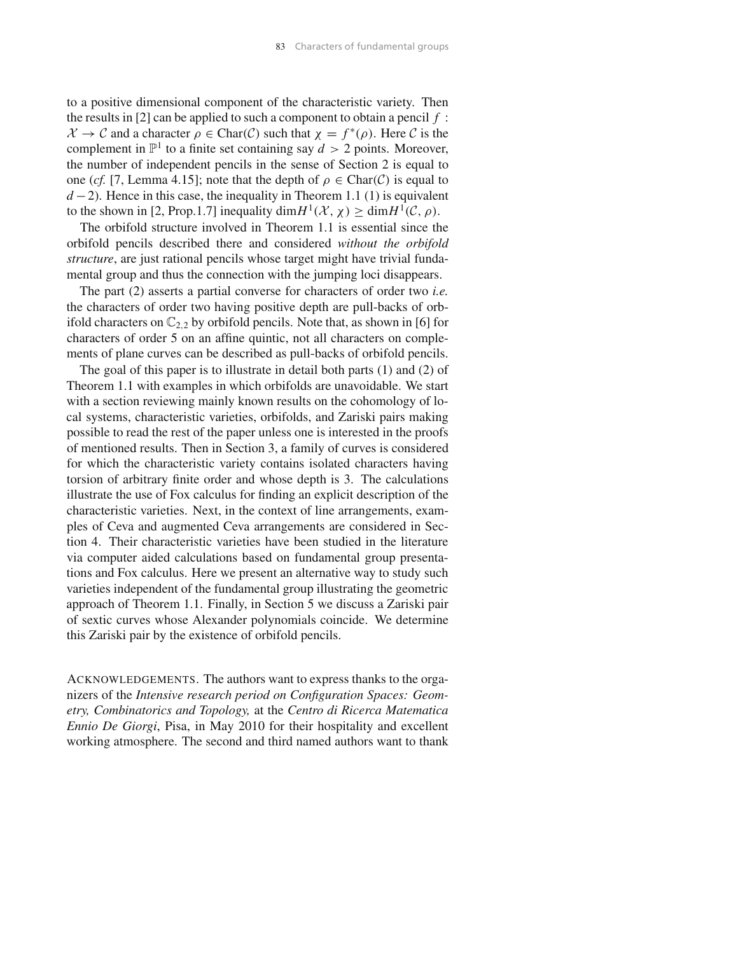to a positive dimensional component of the characteristic variety. Then the results in [2] can be applied to such a component to obtain a pencil *f* : *X* → *C* and a character  $ρ ∈ \text{Char}(C)$  such that  $χ = f^*(ρ)$ . Here *C* is the complement in  $\mathbb{P}^1$  to a finite set containing say  $d > 2$  points. Moreover, the number of independent pencils in the sense of Section 2 is equal to one (*cf.* [7, Lemma 4.15]; note that the depth of  $\rho \in \text{Char}(\mathcal{C})$  is equal to *d* − 2). Hence in this case, the inequality in Theorem 1.1 (1) is equivalent to the shown in [2, Prop.1.7] inequality dim $H^1(\mathcal{X}, \chi) \ge \text{dim } H^1(\mathcal{C}, \rho)$ .

The orbifold structure involved in Theorem 1.1 is essential since the orbifold pencils described there and considered *without the orbifold structure*, are just rational pencils whose target might have trivial fundamental group and thus the connection with the jumping loci disappears.

The part (2) asserts a partial converse for characters of order two *i.e.* the characters of order two having positive depth are pull-backs of orbifold characters on  $\mathbb{C}_{2,2}$  by orbifold pencils. Note that, as shown in [6] for characters of order 5 on an affine quintic, not all characters on complements of plane curves can be described as pull-backs of orbifold pencils.

The goal of this paper is to illustrate in detail both parts (1) and (2) of Theorem 1.1 with examples in which orbifolds are unavoidable. We start with a section reviewing mainly known results on the cohomology of local systems, characteristic varieties, orbifolds, and Zariski pairs making possible to read the rest of the paper unless one is interested in the proofs of mentioned results. Then in Section 3, a family of curves is considered for which the characteristic variety contains isolated characters having torsion of arbitrary finite order and whose depth is 3. The calculations illustrate the use of Fox calculus for finding an explicit description of the characteristic varieties. Next, in the context of line arrangements, examples of Ceva and augmented Ceva arrangements are considered in Section 4. Their characteristic varieties have been studied in the literature via computer aided calculations based on fundamental group presentations and Fox calculus. Here we present an alternative way to study such varieties independent of the fundamental group illustrating the geometric approach of Theorem 1.1. Finally, in Section 5 we discuss a Zariski pair of sextic curves whose Alexander polynomials coincide. We determine this Zariski pair by the existence of orbifold pencils.

ACKNOWLEDGEMENTS. The authors want to express thanks to the organizers of the *Intensive research period on Configuration Spaces: Geometry, Combinatorics and Topology,* at the *Centro di Ricerca Matematica Ennio De Giorgi*, Pisa, in May 2010 for their hospitality and excellent working atmosphere. The second and third named authors want to thank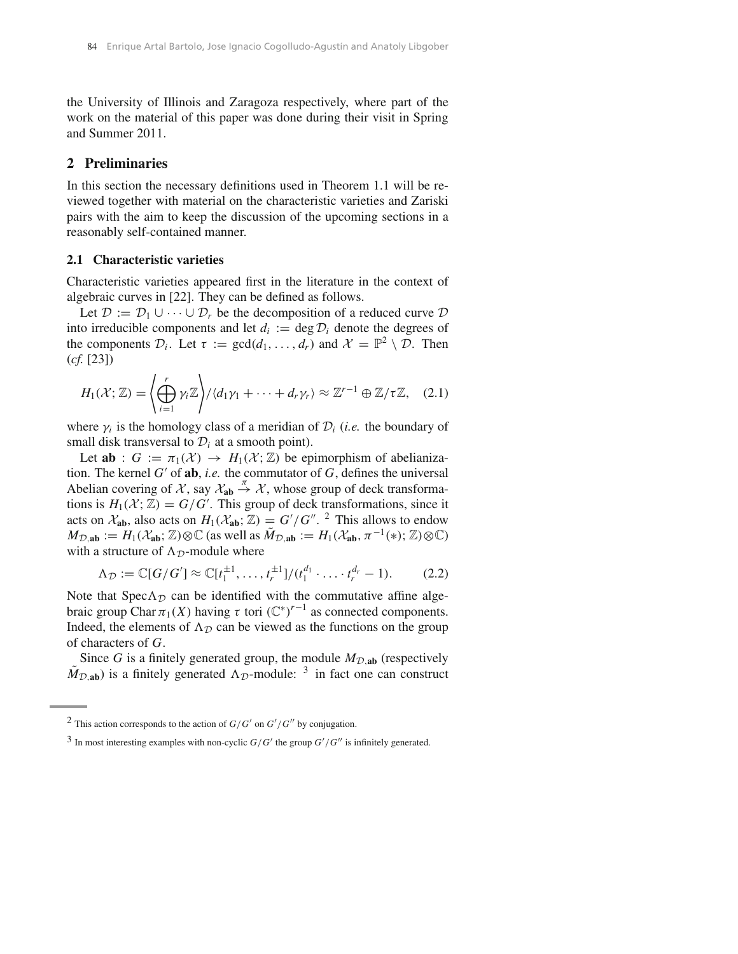the University of Illinois and Zaragoza respectively, where part of the work on the material of this paper was done during their visit in Spring and Summer 2011.

#### **2 Preliminaries**

In this section the necessary definitions used in Theorem 1.1 will be reviewed together with material on the characteristic varieties and Zariski pairs with the aim to keep the discussion of the upcoming sections in a reasonably self-contained manner.

## **2.1 Characteristic varieties**

Characteristic varieties appeared first in the literature in the context of algebraic curves in [22]. They can be defined as follows.

Let  $\mathcal{D} := \mathcal{D}_1 \cup \cdots \cup \mathcal{D}_r$  be the decomposition of a reduced curve  $\mathcal{D}$ into irreducible components and let  $d_i := \deg \mathcal{D}_i$  denote the degrees of the components  $\mathcal{D}_i$ . Let  $\tau := \gcd(d_1, \ldots, d_r)$  and  $\mathcal{X} = \mathbb{P}^2 \setminus \mathcal{D}$ . Then (*cf.* [23])

$$
H_1(\mathcal{X};\mathbb{Z}) = \left\langle \bigoplus_{i=1}^r \gamma_i \mathbb{Z} \right\rangle / \langle d_1 \gamma_1 + \dots + d_r \gamma_r \rangle \approx \mathbb{Z}^{r-1} \oplus \mathbb{Z} / \tau \mathbb{Z}, \quad (2.1)
$$

where  $\gamma_i$  is the homology class of a meridian of  $\mathcal{D}_i$  (*i.e.* the boundary of small disk transversal to  $\mathcal{D}_i$  at a smooth point).

Let **ab** :  $G := \pi_1(\mathcal{X}) \rightarrow H_1(\mathcal{X}; \mathbb{Z})$  be epimorphism of abelianization. The kernel *G*′ of **ab**, *i.e.* the commutator of *G*, defines the universal Abelian covering of *X*, say  $\mathcal{X}_{ab} \stackrel{\pi}{\rightarrow} \mathcal{X}$ , whose group of deck transformations is  $H_1(\mathcal{X}; \mathbb{Z}) = G/G'$ . This group of deck transformations, since it acts on  $\mathcal{X}_{ab}$ , also acts on  $H_1(\mathcal{X}_{ab};\mathbb{Z}) = G'/G''$ . <sup>2</sup> This allows to endow  $M_{\mathcal{D},\text{ab}} := H_1(\mathcal{X}_\text{ab};\mathbb{Z}) \otimes \mathbb{C}$  (as well as  $\tilde{M}_{\mathcal{D},\text{ab}} := H_1(\mathcal{X}_\text{ab}, \pi^{-1}(*); \mathbb{Z}) \otimes \mathbb{C}$ ) with a structure of  $\Lambda_{\mathcal{D}}$ -module where

$$
\Lambda_{\mathcal{D}} := \mathbb{C}[G/G'] \approx \mathbb{C}[t_1^{\pm 1}, \dots, t_r^{\pm 1}]/(t_1^{d_1} \cdot \dots \cdot t_r^{d_r} - 1).
$$
 (2.2)

Note that Spec $\Lambda_{\mathcal{D}}$  can be identified with the commutative affine algebraic group Char  $\pi_1(X)$  having  $\tau$  tori  $(\mathbb{C}^*)^{r-1}$  as connected components. Indeed, the elements of  $\Lambda_{\mathcal{D}}$  can be viewed as the functions on the group of characters of *G*.

Since *G* is a finitely generated group, the module  $M_{\text{D},\text{ab}}$  (respectively  $\tilde{M}_{\mathcal{D},\text{ab}}$ ) is a finitely generated  $\Lambda_{\mathcal{D}}$ -module: <sup>3</sup> in fact one can construct

<sup>&</sup>lt;sup>2</sup> This action corresponds to the action of  $G/G'$  on  $G'/G''$  by conjugation.

 $3$  In most interesting examples with non-cyclic  $G/G'$  the group  $G'/G''$  is infinitely generated.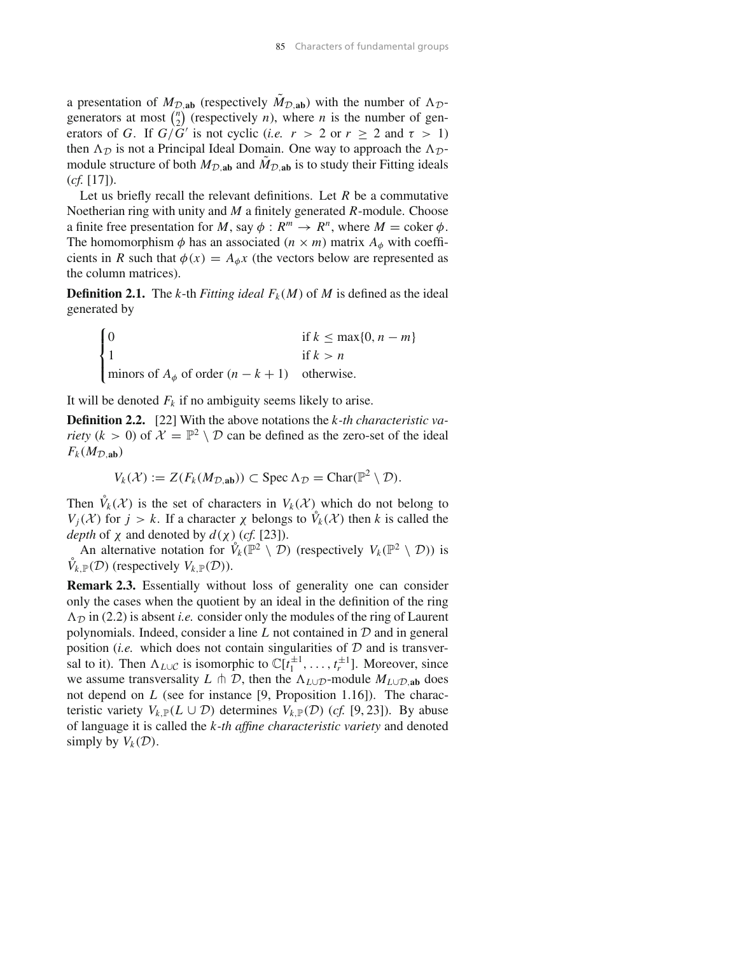a presentation of  $M_{\mathcal{D},\text{ab}}$  (respectively  $\tilde{M}_{\mathcal{D},\text{ab}}$ ) with the number of  $\Lambda_{\mathcal{D}}$ generators at most  $\binom{n}{2}$  (respectively *n*), where *n* is the number of generators of *G*. If  $G/\overline{G}$ <sup>*'*</sup> is not cyclic (*i.e.*  $r > 2$  or  $r \ge 2$  and  $\tau > 1$ ) then  $\Lambda_{\mathcal{D}}$  is not a Principal Ideal Domain. One way to approach the  $\Lambda_{\mathcal{D}}$ module structure of both  $M_{\mathcal{D},\text{ab}}$  and  $\tilde{M}_{\mathcal{D},\text{ab}}$  is to study their Fitting ideals (*cf.* [17]).

Let us briefly recall the relevant definitions. Let *R* be a commutative Noetherian ring with unity and *M* a finitely generated *R*-module. Choose a finite free presentation for *M*, say  $\phi : R^m \to R^n$ , where  $M = \text{coker } \phi$ . The homomorphism  $\phi$  has an associated  $(n \times m)$  matrix  $A_{\phi}$  with coefficients in *R* such that  $\phi(x) = A_{\phi}x$  (the vectors below are represented as the column matrices).

**Definition 2.1.** The *k*-th *Fitting ideal*  $F_k(M)$  of *M* is defined as the ideal generated by

$$
\begin{cases}\n0 & \text{if } k \leq \max\{0, n - m\} \\
1 & \text{if } k > n \\
\text{minors of } A_{\phi} \text{ of order } (n - k + 1) & \text{otherwise.} \n\end{cases}
$$

It will be denoted  $F_k$  if no ambiguity seems likely to arise.

**Definition 2.2.** [22] With the above notations the *k-th characteristic variety* ( $k > 0$ ) of  $\mathcal{X} = \mathbb{P}^2 \setminus \mathcal{D}$  can be defined as the zero-set of the ideal  $F_k(M_{\mathcal{D},\mathbf{ab}})$ 

$$
V_k(\mathcal{X}) := Z(F_k(M_{\mathcal{D},\mathbf{ab}})) \subset \operatorname{Spec} \Lambda_{\mathcal{D}} = \operatorname{Char}(\mathbb{P}^2 \setminus \mathcal{D}).
$$

Then  $\mathring{V}_k(\mathcal{X})$  is the set of characters in  $V_k(\mathcal{X})$  which do not belong to *V<sub>j</sub>*(*X*) for *j* > *k*. If a character  $\chi$  belongs to  $\hat{V}_k(\mathcal{X})$  then *k* is called the *depth* of  $\chi$  and denoted by  $d(\chi)$  (*cf.* [23]).

An alternative notation for  $\mathring{V}_k(\mathbb{P}^2 \setminus \mathcal{D})$  (respectively  $V_k(\mathbb{P}^2 \setminus \mathcal{D})$ ) is  $\mathring{V}_{k,\mathbb{P}}(\mathcal{D})$  (respectively  $V_{k,\mathbb{P}}(\mathcal{D})$ ).

**Remark 2.3.** Essentially without loss of generality one can consider only the cases when the quotient by an ideal in the definition of the ring  $\Lambda_{\mathcal{D}}$  in (2.2) is absent *i.e.* consider only the modules of the ring of Laurent polynomials. Indeed, consider a line *L* not contained in *D* and in general position (*i.e.* which does not contain singularities of  $D$  and is transversal to it). Then  $\Lambda_{L\cup C}$  is isomorphic to  $\mathbb{C}[t_1^{\pm 1}, \ldots, t_r^{\pm 1}]$ . Moreover, since we assume transversality *L*  $\pitchfork$  *D*, then the  $\Lambda_{L\cup D}$ -module  $M_{L\cup D}$ <sub>*ab*</sub> does not depend on *L* (see for instance [9, Proposition 1.16]). The characteristic variety  $V_{k,\mathbb{P}}(L \cup \mathcal{D})$  determines  $V_{k,\mathbb{P}}(\mathcal{D})$  (*cf.* [9, 23]). By abuse of language it is called the *k-th affine characteristic variety* and denoted simply by  $V_k(\mathcal{D})$ .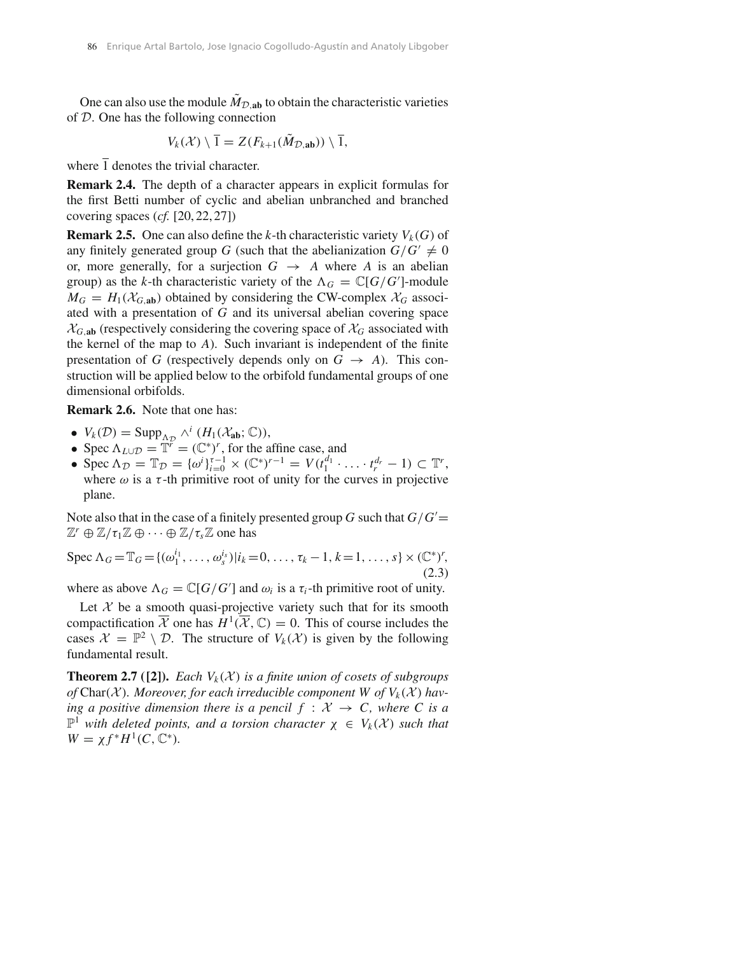One can also use the module  $\tilde{M}_{\mathcal{D},\text{ab}}$  to obtain the characteristic varieties of *D*. One has the following connection

$$
V_k(\mathcal{X}) \setminus \overline{1} = Z(F_{k+1}(\tilde{M}_{\mathcal{D},\mathbf{ab}})) \setminus \overline{1},
$$

where  $\overline{1}$  denotes the trivial character.

**Remark 2.4.** The depth of a character appears in explicit formulas for the first Betti number of cyclic and abelian unbranched and branched covering spaces (*cf.* [20, 22, 27])

**Remark 2.5.** One can also define the *k*-th characteristic variety  $V_k(G)$  of any finitely generated group *G* (such that the abelianization  $G/G' \neq 0$ or, more generally, for a surjection  $G \rightarrow A$  where *A* is an abelian group) as the *k*-th characteristic variety of the  $\Lambda_G = \mathbb{C}[G/G']$ -module  $M_G = H_1(\mathcal{X}_{G,ab})$  obtained by considering the CW-complex  $\mathcal{X}_G$  associated with a presentation of *G* and its universal abelian covering space  $\mathcal{X}_{G,ab}$  (respectively considering the covering space of  $\mathcal{X}_G$  associated with the kernel of the map to *A*). Such invariant is independent of the finite presentation of *G* (respectively depends only on  $G \rightarrow A$ ). This construction will be applied below to the orbifold fundamental groups of one dimensional orbifolds.

**Remark 2.6.** Note that one has:

- $V_k(\mathcal{D}) = \text{Supp}_{\Lambda_{\mathcal{D}}} \wedge^i (H_1(\mathcal{X}_{ab}; \mathbb{C})),$
- Spec  $\Lambda_{L\cup\mathcal{D}} = \mathbb{T}^r = (\mathbb{C}^*)^r$ , for the affine case, and
- Spec  $\Lambda_{\mathcal{D}} = \mathbb{T}_{\mathcal{D}} = {\omega^i}_{i=0}^{\tau-1} \times (\mathbb{C}^*)^{r-1} = V(t_1^{d_1} \cdot \ldots \cdot t_r^{d_r} 1) \subset \mathbb{T}^r$ , where  $\omega$  is a  $\tau$ -th primitive root of unity for the curves in projective plane.

Note also that in the case of a finitely presented group *G* such that *G/G*′ =  $\mathbb{Z}^r \oplus \mathbb{Z}/\tau_1 \mathbb{Z} \oplus \cdots \oplus \mathbb{Z}/\tau_s \mathbb{Z}$  one has

Spec 
$$
\Lambda_G = \mathbb{T}_G = \{ (\omega_1^{i_1}, \dots, \omega_s^{i_s}) | i_k = 0, \dots, \tau_k - 1, k = 1, \dots, s \} \times (\mathbb{C}^*)^r,
$$
\n(2.3)

where as above  $\Lambda_G = \mathbb{C}[G/G']$  and  $\omega_i$  is a  $\tau_i$ -th primitive root of unity.

Let  $X$  be a smooth quasi-projective variety such that for its smooth compactification  $\overline{\mathcal{X}}$  one has  $H^1(\overline{\mathcal{X}}, \mathbb{C}) = 0$ . This of course includes the cases  $\mathcal{X} = \mathbb{P}^2 \setminus \mathcal{D}$ . The structure of  $V_k(\mathcal{X})$  is given by the following fundamental result.

**Theorem 2.7** ([2]). *Each*  $V_k(\mathcal{X})$  *is a finite union of cosets of subgroups* of Char(*X*). Moreover, for each irreducible component W of  $V_k(\mathcal{X})$  hav*ing a positive dimension there is a pencil*  $f : \mathcal{X} \to \mathcal{C}$ *, where*  $\mathcal{C}$  *is a*  $\mathbb{P}^1$  *with deleted points, and a torsion character*  $\chi \in V_k(\mathcal{X})$  *such that*  $W = \chi f^* H^1(C, \mathbb{C}^*).$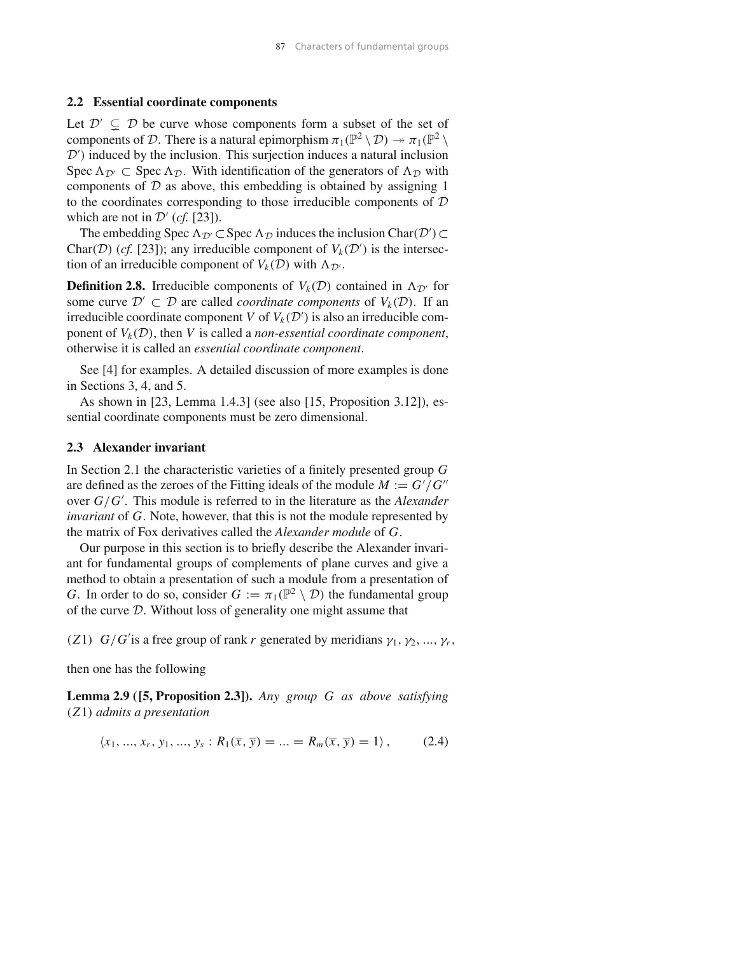#### **2.2 Essential coordinate components**

Let  $\mathcal{D}' \subseteq \mathcal{D}$  be curve whose components form a subset of the set of components of *D*. There is a natural epimorphism  $\pi_1(\mathbb{P}^2 \setminus \mathcal{D}) \to \pi_1(\mathbb{P}^2 \setminus \mathcal{D})$ *D*′ *)* induced by the inclusion. This surjection induces a natural inclusion Spec  $\Lambda_{\mathcal{D}'} \subset$  Spec  $\Lambda_{\mathcal{D}}$ . With identification of the generators of  $\Lambda_{\mathcal{D}}$  with components of  $D$  as above, this embedding is obtained by assigning 1 to the coordinates corresponding to those irreducible components of *D* which are not in  $\mathcal{D}'$  (*cf.* [23]).

The embedding Spec  $\Lambda_{\mathcal{D}}$  ⊂ Spec  $\Lambda_{\mathcal{D}}$  induces the inclusion Char $(\mathcal{D}') \subset$ Char(*D*) (*cf.* [23]); any irreducible component of  $V_k(\mathcal{D}')$  is the intersection of an irreducible component of  $V_k(\mathcal{D})$  with  $\Lambda_{\mathcal{D}}$ .

**Definition 2.8.** Irreducible components of  $V_k(\mathcal{D})$  contained in  $\Lambda_{\mathcal{D}}$  for some curve  $\mathcal{D}' \subset \mathcal{D}$  are called *coordinate components* of  $V_k(\mathcal{D})$ . If an irreducible coordinate component *V* of  $V_k(\mathcal{D}')$  is also an irreducible component of  $V_k(\mathcal{D})$ , then *V* is called a *non-essential coordinate component*, otherwise it is called an *essential coordinate component*.

See [4] for examples. A detailed discussion of more examples is done in Sections 3, 4, and 5.

As shown in [23, Lemma 1.4.3] (see also [15, Proposition 3.12]), essential coordinate components must be zero dimensional.

#### **2.3 Alexander invariant**

In Section 2.1 the characteristic varieties of a finitely presented group *G* are defined as the zeroes of the Fitting ideals of the module  $M := G'/G''$ over *G/G*′ . This module is referred to in the literature as the *Alexander invariant* of *G*. Note, however, that this is not the module represented by the matrix of Fox derivatives called the *Alexander module* of *G*.

Our purpose in this section is to briefly describe the Alexander invariant for fundamental groups of complements of plane curves and give a method to obtain a presentation of such a module from a presentation of *G*. In order to do so, consider  $G := \pi_1(\mathbb{P}^2 \setminus \mathcal{D})$  the fundamental group of the curve *D*. Without loss of generality one might assume that

*(Z1) G/G*<sup>'</sup> is a free group of rank *r* generated by meridians  $\gamma_1, \gamma_2, ..., \gamma_r$ ,

then one has the following

**Lemma 2.9 ([5, Proposition 2.3]).** *Any group G as above satisfying (Z*1*) admits a presentation*

$$
\langle x_1, ..., x_r, y_1, ..., y_s : R_1(\overline{x}, \overline{y}) = ... = R_m(\overline{x}, \overline{y}) = 1 \rangle, \qquad (2.4)
$$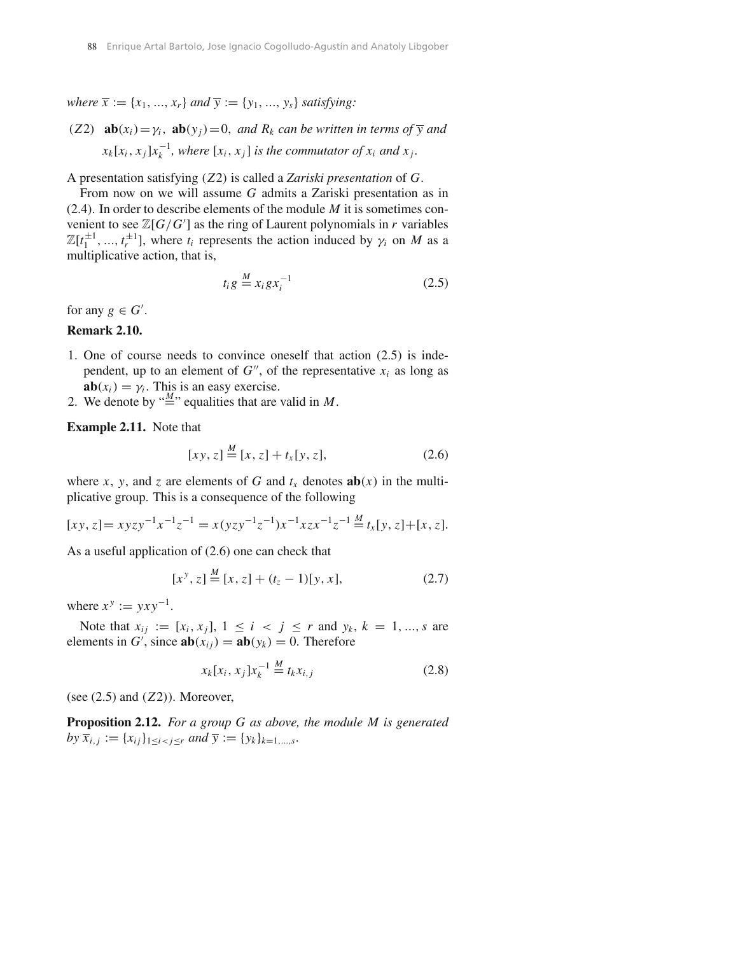*where*  $\overline{x} := \{x_1, \ldots, x_r\}$  *and*  $\overline{y} := \{y_1, \ldots, y_s\}$  *satisfying:* 

*(Z2)* **ab** $(x_i) = y_i$ *,* **ab** $(y_i) = 0$ *, and*  $R_k$  *can be written in terms of*  $\overline{y}$  *and*  $x_k[x_i, x_j]x_k^{-1}$ , where  $[x_i, x_j]$  *is the commutator of*  $x_i$  *and*  $x_j$ .

A presentation satisfying *(Z*2*)* is called a *Zariski presentation* of *G*.

From now on we will assume *G* admits a Zariski presentation as in (2.4). In order to describe elements of the module *M* it is sometimes convenient to see  $\mathbb{Z}[G/G']$  as the ring of Laurent polynomials in *r* variables  $\mathbb{Z}[t_1^{\pm 1}, ..., t_r^{\pm 1}]$ , where  $t_i$  represents the action induced by  $\gamma_i$  on *M* as a multiplicative action, that is,

$$
t_i g \stackrel{M}{=} x_i g x_i^{-1} \tag{2.5}
$$

for any  $g \in G'$ .

#### **Remark 2.10.**

- 1. One of course needs to convince oneself that action (2.5) is independent, up to an element of  $G''$ , of the representative  $x_i$  as long as  $ab(x_i) = \gamma_i$ . This is an easy exercise.
- 2. We denote by  $\stackrel{M}{=}$  equalities that are valid in *M*.

**Example 2.11.** Note that

$$
[xy, z] \stackrel{M}{=} [x, z] + t_x [y, z], \tag{2.6}
$$

where *x*, *y*, and *z* are elements of *G* and  $t_x$  denotes  $ab(x)$  in the multiplicative group. This is a consequence of the following

$$
[xy, z] = xyzy^{-1}x^{-1}z^{-1} = x(yzy^{-1}z^{-1})x^{-1}xzx^{-1}z^{-1} \stackrel{M}{=} t_x[y, z] + [x, z].
$$

As a useful application of (2.6) one can check that

$$
[x^y, z] \stackrel{M}{=} [x, z] + (t_z - 1)[y, x], \tag{2.7}
$$

where  $x^y := yxy^{-1}$ .

Note that  $x_{ij} := [x_i, x_j], 1 \le i \le j \le r$  and  $y_k, k = 1, ..., s$  are elements in *G'*, since  $\mathbf{ab}(x_{ij}) = \mathbf{ab}(y_k) = 0$ . Therefore

$$
x_k[x_i, x_j]x_k^{-1} \stackrel{M}{=} t_k x_{i,j} \tag{2.8}
$$

(see (2.5) and *(Z*2*)*). Moreover,

**Proposition 2.12.** *For a group G as above, the module M is generated by*  $\overline{x}_{i,j} := \{x_{ij}\}_{1 \leq i < j \leq r}$  *and*  $\overline{y} := \{y_k\}_{k=1,\dots,s}$ .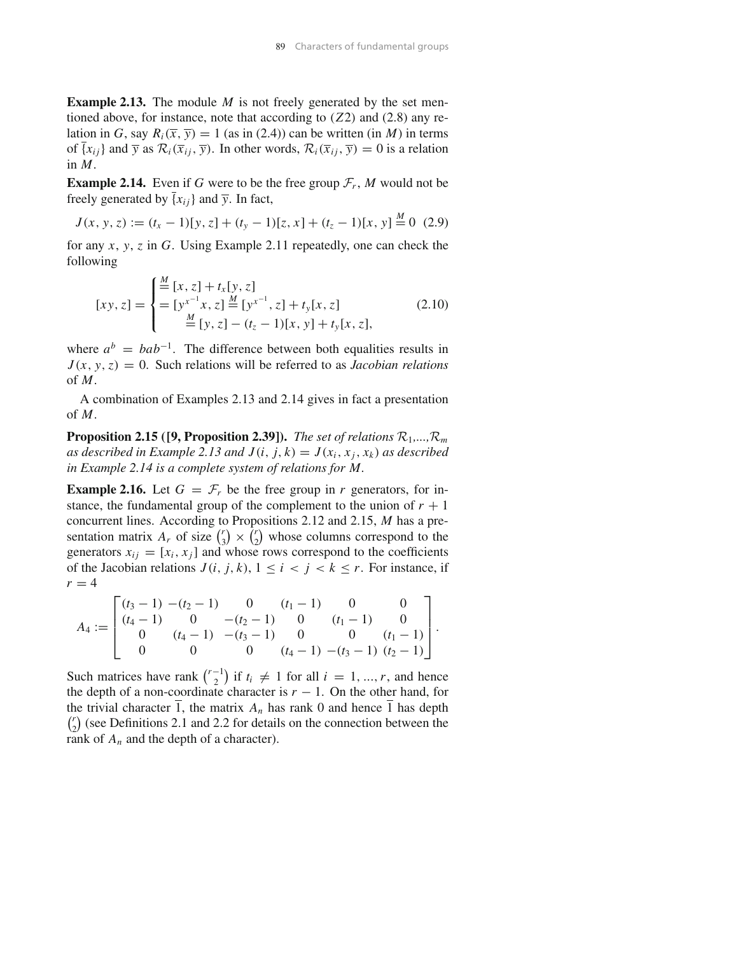**Example 2.13.** The module *M* is not freely generated by the set mentioned above, for instance, note that according to *(Z*2*)* and (2.8) any relation in *G*, say  $R_i(\overline{x}, \overline{y}) = 1$  (as in (2.4)) can be written (in *M*) in terms of  $\{x_{ij}\}\$ and  $\overline{y}$  as  $\mathcal{R}_i(\overline{x}_{ij}, \overline{y})$ . In other words,  $\mathcal{R}_i(\overline{x}_{ij}, \overline{y}) = 0$  is a relation in *M*.

**Example 2.14.** Even if *G* were to be the free group  $\mathcal{F}_r$ , *M* would not be freely generated by  $\overline{\{x_{ij}\}}$  and  $\overline{y}$ . In fact,

$$
J(x, y, z) := (t_x - 1)[y, z] + (t_y - 1)[z, x] + (t_z - 1)[x, y] \stackrel{M}{=} 0 \tag{2.9}
$$

for any *x*, *y*, *z* in *G*. Using Example 2.11 repeatedly, one can check the following

$$
[xy, z] = \begin{cases} \frac{M}{=} [x, z] + t_x [y, z] \\ = [y^{x^{-1}} x, z] \frac{M}{=} [y^{x^{-1}}, z] + t_y [x, z] \\ = [y, z] - (t_z - 1) [x, y] + t_y [x, z], \end{cases}
$$
(2.10)

where  $a^b = bab^{-1}$ . The difference between both equalities results in  $J(x, y, z) = 0$ . Such relations will be referred to as *Jacobian relations* of *M*.

A combination of Examples 2.13 and 2.14 gives in fact a presentation of *M*.

**Proposition 2.15 ([9, Proposition 2.39]).** *The set of relations*  $\mathcal{R}_1$ ,...,  $\mathcal{R}_m$ *as described in Example 2.13 and*  $J(i, j, k) = J(x_i, x_j, x_k)$  *as described in Example 2.14 is a complete system of relations for M.*

**Example 2.16.** Let  $G = \mathcal{F}_r$  be the free group in *r* generators, for instance, the fundamental group of the complement to the union of  $r + 1$ concurrent lines. According to Propositions 2.12 and 2.15, *M* has a presentation matrix  $A_r$  of size  $\binom{r}{3} \times \binom{r}{2}$  whose columns correspond to the generators  $x_{ij} = [x_i, x_j]$  and whose rows correspond to the coefficients of the Jacobian relations  $J(i, j, k)$ ,  $1 \leq i \leq j \leq k \leq r$ . For instance, if  $r = 4$ 

$$
A_4 := \begin{bmatrix} (t_3 - 1) & -(t_2 - 1) & 0 & (t_1 - 1) & 0 & 0 \ (t_4 - 1) & 0 & -(t_2 - 1) & 0 & (t_1 - 1) & 0 \ 0 & (t_4 - 1) & -(t_3 - 1) & 0 & 0 & (t_1 - 1) \ 0 & 0 & 0 & (t_4 - 1) & -(t_3 - 1) & (t_2 - 1) \end{bmatrix}.
$$

Such matrices have rank  $\binom{r-1}{2}$  if  $t_i \neq 1$  for all  $i = 1, ..., r$ , and hence the depth of a non-coordinate character is  $r - 1$ . On the other hand, for the trivial character 1, the matrix  $A_n$  has rank 0 and hence  $\overline{1}$  has depth  $\binom{r}{2}$  (see Definitions 2.1 and 2.2 for details on the connection between the rank of  $A_n$  and the depth of a character).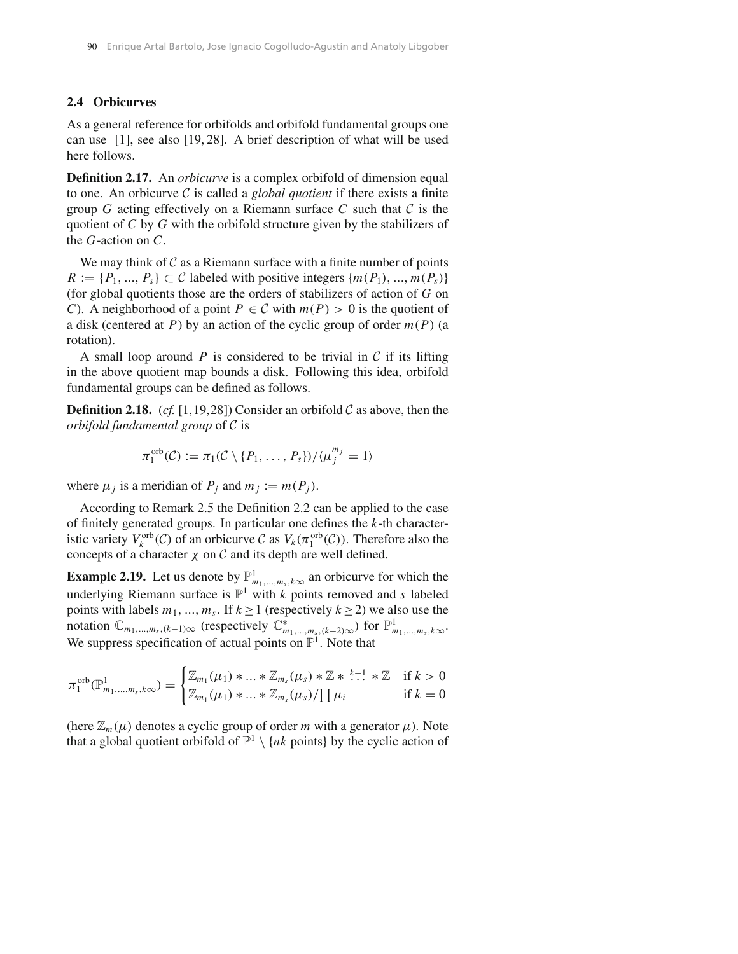## **2.4 Orbicurves**

As a general reference for orbifolds and orbifold fundamental groups one can use [1], see also [19, 28]. A brief description of what will be used here follows.

**Definition 2.17.** An *orbicurve* is a complex orbifold of dimension equal to one. An orbicurve *C* is called a *global quotient* if there exists a finite group *G* acting effectively on a Riemann surface *C* such that  $C$  is the quotient of *C* by *G* with the orbifold structure given by the stabilizers of the *G*-action on *C*.

We may think of *C* as a Riemann surface with a finite number of points  $R := \{P_1, \ldots, P_s\} \subset C$  labeled with positive integers  $\{m(P_1), \ldots, m(P_s)\}$ (for global quotients those are the orders of stabilizers of action of *G* on *C*). A neighborhood of a point  $P \in C$  with  $m(P) > 0$  is the quotient of a disk (centered at *P*) by an action of the cyclic group of order  $m(P)$  (a rotation).

A small loop around  $P$  is considered to be trivial in  $C$  if its lifting in the above quotient map bounds a disk. Following this idea, orbifold fundamental groups can be defined as follows.

**Definition 2.18.** (*cf.* [1,19,28]) Consider an orbifold  $C$  as above, then the *orbifold fundamental group* of *C* is

$$
\pi_1^{\text{orb}}(\mathcal{C}) := \pi_1(\mathcal{C} \setminus \{P_1, \ldots, P_s\})/\langle \mu_j^{m_j} = 1 \rangle
$$

where  $\mu_j$  is a meridian of  $P_j$  and  $m_j := m(P_j)$ .

According to Remark 2.5 the Definition 2.2 can be applied to the case of finitely generated groups. In particular one defines the *k*-th characteristic variety  $V_k^{\text{orb}}(C)$  of an orbicurve  $C$  as  $V_k(\pi_1^{\text{orb}}(C))$ . Therefore also the concepts of a character  $\chi$  on  $\mathcal C$  and its depth are well defined.

**Example 2.19.** Let us denote by  $\mathbb{P}^1_{m_1,\ldots,m_s,k\infty}$  an orbicurve for which the underlying Riemann surface is  $\mathbb{P}^1$  with *k* points removed and *s* labeled points with labels  $m_1, ..., m_s$ . If  $k \ge 1$  (respectively  $k \ge 2$ ) we also use the notation  $\mathbb{C}_{m_1,\dots,m_s,(k-1)\infty}$  (respectively  $\mathbb{C}^*_{m_1,\dots,m_s,(k-2)\infty}$ ) for  $\mathbb{P}^1_{m_1,\dots,m_s,k\infty}$ . We suppress specification of actual points on  $\mathbb{P}^1$ . Note that

$$
\pi_1^{\text{orb}}(\mathbb{P}^1_{m_1,\dots,m_s,k\infty}) = \begin{cases} \mathbb{Z}_{m_1}(\mu_1) * \dots * \mathbb{Z}_{m_s}(\mu_s) * \mathbb{Z} * \stackrel{k-1}{\dots} * \mathbb{Z} & \text{if } k > 0 \\ \mathbb{Z}_{m_1}(\mu_1) * \dots * \mathbb{Z}_{m_s}(\mu_s) / \prod \mu_i & \text{if } k = 0 \end{cases}
$$

(here  $\mathbb{Z}_m(\mu)$  denotes a cyclic group of order *m* with a generator  $\mu$ ). Note that a global quotient orbifold of  $\mathbb{P}^1 \setminus \{nk \text{ points}\}\$  by the cyclic action of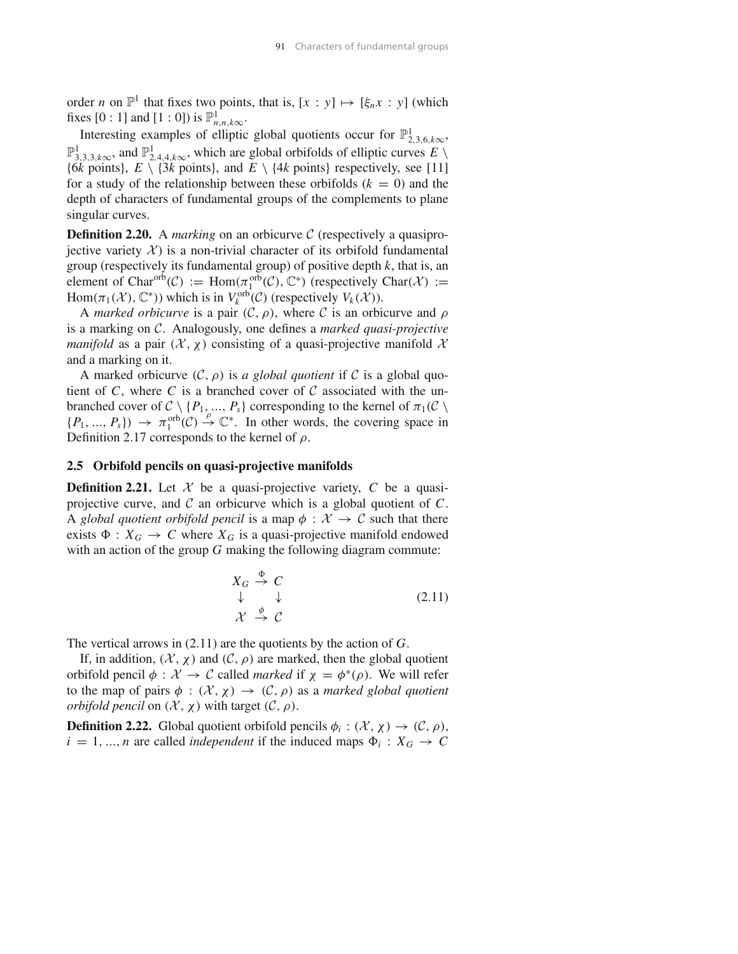order *n* on  $\mathbb{P}^1$  that fixes two points, that is,  $[x : y] \mapsto [\xi_n x : y]$  (which fixes [0 : 1] and [1 : 0]) is  $\mathbb{P}^1_{n,n,k\infty}$ .

Interesting examples of elliptic global quotients occur for  $\mathbb{P}^1_{2,3,6,k\infty}$ ,  $\mathbb{P}^1_{3,3,3,k\infty}$ , and  $\mathbb{P}^1_{2,4,4,k\infty}$ , which are global orbifolds of elliptic curves  $E \setminus$ {6*k* points},  $E \setminus \{3k \text{ points}\}\)$ , and  $E \setminus \{4k \text{ points}\}\)$  respectively, see [11] for a study of the relationship between these orbifolds  $(k = 0)$  and the depth of characters of fundamental groups of the complements to plane singular curves.

**Definition 2.20.** A *marking* on an orbicurve C (respectively a quasiprojective variety  $X$ ) is a non-trivial character of its orbifold fundamental group (respectively its fundamental group) of positive depth  $k$ , that is, an element of Char<sup>orb</sup>(C) := Hom $(\pi_1^{\text{orb}}(C), \mathbb{C}^*)$  (respectively Char $(\mathcal{X})$  := Hom $(\pi_1(\mathcal{X}), \mathbb{C}^*)$ ) which is in  $V_k^{\text{orb}}(\mathcal{C})$  (respectively  $V_k(\mathcal{X})$ ).

A *marked orbicurve* is a pair  $(C, \rho)$ , where *C* is an orbicurve and  $\rho$ is a marking on *C*. Analogously, one defines a *marked quasi-projective manifold* as a pair  $(X, \chi)$  consisting of a quasi-projective manifold X and a marking on it.

A marked orbicurve  $(C, \rho)$  is *a global quotient* if *C* is a global quotient of  $C$ , where  $C$  is a branched cover of  $C$  associated with the unbranched cover of  $C \setminus \{P_1, ..., P_s\}$  corresponding to the kernel of  $\pi_1(C \setminus$  $\{P_1, ..., P_s\}$   $\rightarrow \pi_1^{\text{orb}}(C) \stackrel{\rho}{\rightarrow} \mathbb{C}^*$ . In other words, the covering space in Definition 2.17 corresponds to the kernel of  $\rho$ .

#### **2.5 Orbifold pencils on quasi-projective manifolds**

**Definition 2.21.** Let  $\mathcal{X}$  be a quasi-projective variety,  $C$  be a quasiprojective curve, and *C* an orbicurve which is a global quotient of *C*. A *global quotient orbifold pencil* is a map  $\phi : \mathcal{X} \to \mathcal{C}$  such that there exists  $\Phi : X_G \to C$  where  $X_G$  is a quasi-projective manifold endowed with an action of the group *G* making the following diagram commute:

$$
\begin{array}{ccc}\nX_G \stackrel{\Phi}{\rightarrow} C\\ \n\downarrow & \downarrow & \downarrow \\
\mathcal{X} \stackrel{\phi}{\rightarrow} C\n\end{array} \tag{2.11}
$$

The vertical arrows in (2.11) are the quotients by the action of *G*.

If, in addition,  $(\mathcal{X}, \chi)$  and  $(\mathcal{C}, \rho)$  are marked, then the global quotient orbifold pencil  $\phi$  :  $\mathcal{X} \to \mathcal{C}$  called *marked* if  $\chi = \phi^*(\rho)$ . We will refer to the map of pairs  $\phi : (\mathcal{X}, \chi) \to (\mathcal{C}, \rho)$  as a *marked global quotient orbifold pencil* on  $(X, \chi)$  with target  $(C, \rho)$ .

**Definition 2.22.** Global quotient orbifold pencils  $\phi_i : (\mathcal{X}, \chi) \to (\mathcal{C}, \rho)$ ,  $i = 1, ..., n$  are called *independent* if the induced maps  $\Phi_i : X_G \to C$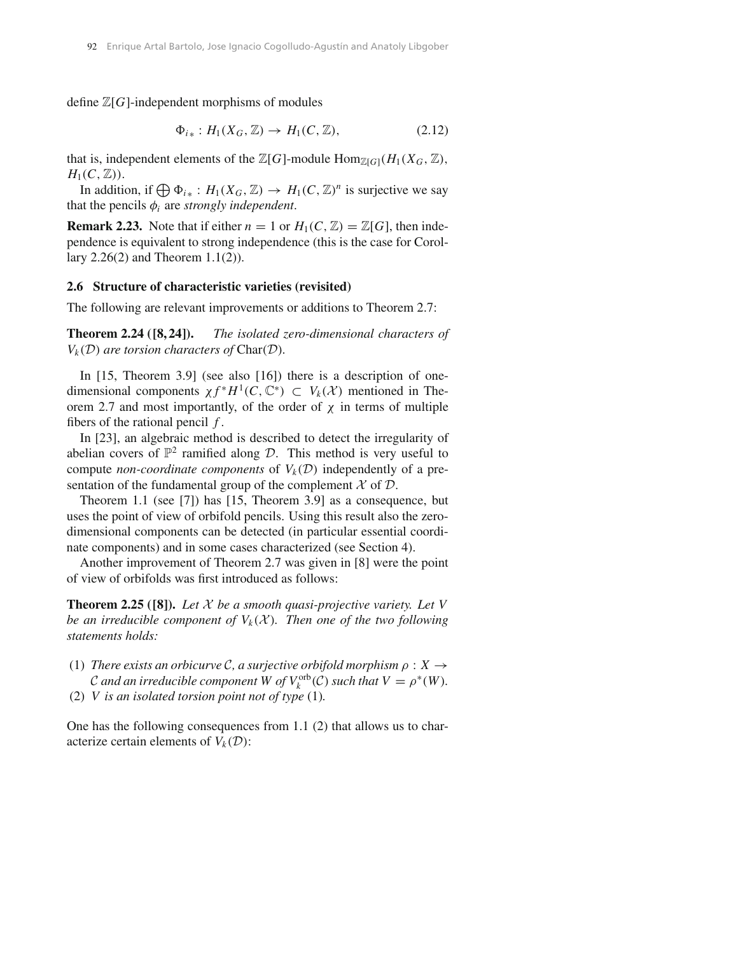define  $\mathbb{Z}[G]$ -independent morphisms of modules

$$
\Phi_{i*}: H_1(X_G, \mathbb{Z}) \to H_1(C, \mathbb{Z}), \tag{2.12}
$$

that is, independent elements of the  $\mathbb{Z}[G]$ -module  $\text{Hom}_{\mathbb{Z}[G]}(H_1(X_G,\mathbb{Z}),$  $H_1(C, \mathbb{Z})$ .

In addition, if  $\bigoplus \Phi_{i*} : H_1(X_G, \mathbb{Z}) \to H_1(C, \mathbb{Z})^n$  is surjective we say that the pencils  $\phi_i$  are *strongly independent*.

**Remark 2.23.** Note that if either  $n = 1$  or  $H_1(C, \mathbb{Z}) = \mathbb{Z}[G]$ , then independence is equivalent to strong independence (this is the case for Corollary 2.26(2) and Theorem 1.1(2)).

#### **2.6 Structure of characteristic varieties (revisited)**

The following are relevant improvements or additions to Theorem 2.7:

**Theorem 2.24 ([8, 24]).** *The isolated zero-dimensional characters of*  $V_k(\mathcal{D})$  *are torsion characters of* Char $(\mathcal{D})$ *.* 

In [15, Theorem 3.9] (see also [16]) there is a description of onedimensional components  $\chi f^* H^1(C, \mathbb{C}^*) \subset V_k(\mathcal{X})$  mentioned in Theorem 2.7 and most importantly, of the order of  $\chi$  in terms of multiple fibers of the rational pencil *f* .

In [23], an algebraic method is described to detect the irregularity of abelian covers of  $\mathbb{P}^2$  ramified along *D*. This method is very useful to compute *non-coordinate components* of  $V_k(\mathcal{D})$  independently of a presentation of the fundamental group of the complement  $\mathcal X$  of  $\mathcal D$ .

Theorem 1.1 (see [7]) has [15, Theorem 3.9] as a consequence, but uses the point of view of orbifold pencils. Using this result also the zerodimensional components can be detected (in particular essential coordinate components) and in some cases characterized (see Section 4).

Another improvement of Theorem 2.7 was given in [8] were the point of view of orbifolds was first introduced as follows:

**Theorem 2.25 ([8]).** *Let X be a smooth quasi-projective variety. Let V be an irreducible component of*  $V_k(\mathcal{X})$ *. Then one of the two following statements holds:*

- (1) *There exists an orbicurve*  $C$ *, a surjective orbifold morphism*  $\rho : X \rightarrow$ *C* and an irreducible component W of  $V_k^{\text{orb}}(C)$  such that  $V = \rho^*(W)$ .
- (2) *V is an isolated torsion point not of type* (1)*.*

One has the following consequences from 1.1 (2) that allows us to characterize certain elements of  $V_k(\mathcal{D})$ :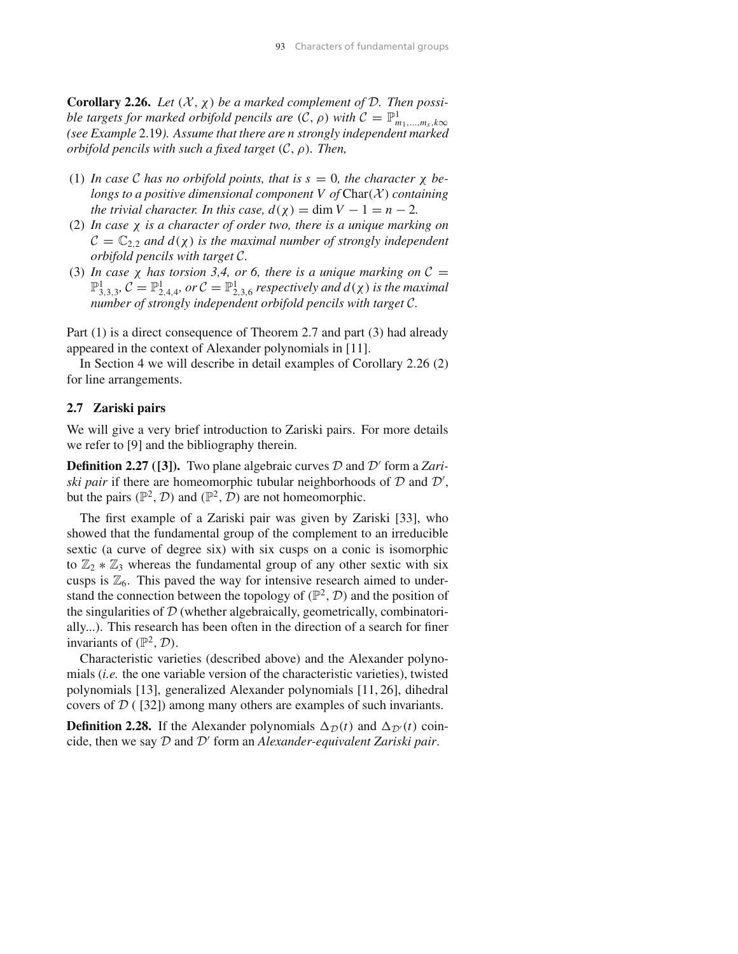**Corollary 2.26.** *Let*  $(X, \chi)$  *be a marked complement of*  $D$ *. Then possible targets for marked orbifold pencils are*  $(C, \rho)$  *with*  $C = \mathbb{P}^1_{m_1,\dots,m_s,k\infty}$ *(see Example* 2.19*). Assume that there are n strongly independent marked orbifold pencils with such a fixed target (C,* ρ*). Then,*

- (1) *In case*  $\mathcal C$  *has no orbifold points, that is s* = 0*, the character*  $\chi$  *belongs to a positive dimensional component V of* Char*(X ) containing the trivial character. In this case,*  $d(\chi) = \dim V - 1 = n - 2$ .
- (2) *In case* χ *is a character of order two, there is a unique marking on*  $C = \mathbb{C}_2$ <sub>2</sub> *and d*( $\chi$ ) *is the maximal number of strongly independent orbifold pencils with target C.*
- (3) In case  $\chi$  has torsion 3,4, or 6, there is a unique marking on  $C =$  $\mathbb{P}^1_{3,3,3}$ ,  $\mathcal{C} = \mathbb{P}^1_{2,4,4}$ , or  $\mathcal{C} = \mathbb{P}^1_{2,3,6}$  *respectively and*  $d(\chi)$  *is the maximal number of strongly independent orbifold pencils with target C.*

Part (1) is a direct consequence of Theorem 2.7 and part (3) had already appeared in the context of Alexander polynomials in [11].

In Section 4 we will describe in detail examples of Corollary 2.26 (2) for line arrangements.

# **2.7 Zariski pairs**

We will give a very brief introduction to Zariski pairs. For more details we refer to [9] and the bibliography therein.

**Definition 2.27 ([3]).** Two plane algebraic curves *D* and *D*′ form a *Zariski pair* if there are homeomorphic tubular neighborhoods of  $D$  and  $D'$ , but the pairs  $(\mathbb{P}^2, \mathcal{D})$  and  $(\mathbb{P}^2, \mathcal{D})$  are not homeomorphic.

The first example of a Zariski pair was given by Zariski [33], who showed that the fundamental group of the complement to an irreducible sextic (a curve of degree six) with six cusps on a conic is isomorphic to  $\mathbb{Z}_2 * \mathbb{Z}_3$  whereas the fundamental group of any other sextic with six cusps is  $\mathbb{Z}_6$ . This paved the way for intensive research aimed to understand the connection between the topology of  $(\mathbb{P}^2, \mathcal{D})$  and the position of the singularities of *D* (whether algebraically, geometrically, combinatorially...). This research has been often in the direction of a search for finer invariants of  $(\mathbb{P}^2, \mathcal{D})$ .

Characteristic varieties (described above) and the Alexander polynomials (*i.e.* the one variable version of the characteristic varieties), twisted polynomials [13], generalized Alexander polynomials [11, 26], dihedral covers of *D* ( [32]) among many others are examples of such invariants.

**Definition 2.28.** If the Alexander polynomials  $\Delta p(t)$  and  $\Delta p'(t)$  coincide, then we say *D* and *D*′ form an *Alexander-equivalent Zariski pair*.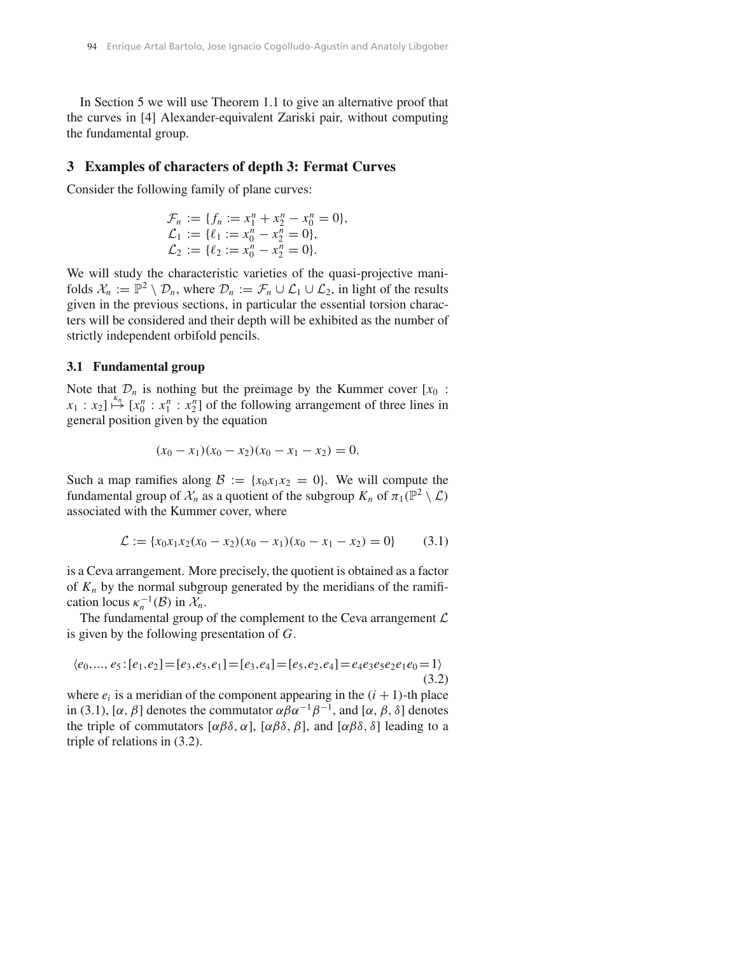In Section 5 we will use Theorem 1.1 to give an alternative proof that the curves in [4] Alexander-equivalent Zariski pair, without computing the fundamental group.

## **3 Examples of characters of depth 3: Fermat Curves**

Consider the following family of plane curves:

$$
\mathcal{F}_n := \{ f_n := x_1^n + x_2^n - x_0^n = 0 \}, \n\mathcal{L}_1 := \{ \ell_1 := x_0^n - x_2^n = 0 \}, \n\mathcal{L}_2 := \{ \ell_2 := x_0^n - x_2^n = 0 \}.
$$

We will study the characteristic varieties of the quasi-projective manifolds  $\mathcal{X}_n := \mathbb{P}^2 \setminus \mathcal{D}_n$ , where  $\mathcal{D}_n := \mathcal{F}_n \cup \mathcal{L}_1 \cup \mathcal{L}_2$ , in light of the results given in the previous sections, in particular the essential torsion characters will be considered and their depth will be exhibited as the number of strictly independent orbifold pencils.

## **3.1 Fundamental group**

Note that  $\mathcal{D}_n$  is nothing but the preimage by the Kummer cover  $[x_0 :$  $x_1 : x_2$   $\overset{k_n}{\mapsto}$   $[x_0^n : x_1^n : x_2^n]$  of the following arrangement of three lines in general position given by the equation

$$
(x_0 - x_1)(x_0 - x_2)(x_0 - x_1 - x_2) = 0.
$$

Such a map ramifies along  $B := \{x_0x_1x_2 = 0\}$ . We will compute the fundamental group of  $\mathcal{X}_n$  as a quotient of the subgroup  $K_n$  of  $\pi_1(\mathbb{P}^2 \setminus \mathcal{L})$ associated with the Kummer cover, where

$$
\mathcal{L} := \{x_0 x_1 x_2 (x_0 - x_2)(x_0 - x_1)(x_0 - x_1 - x_2) = 0\} \tag{3.1}
$$

is a Ceva arrangement. More precisely, the quotient is obtained as a factor of  $K_n$  by the normal subgroup generated by the meridians of the ramification locus  $\kappa_n^{-1}(\mathcal{B})$  in  $\mathcal{X}_n$ .

The fundamental group of the complement to the Ceva arrangement *L* is given by the following presentation of *G*.

$$
\langle e_0, \dots, e_5 : [e_1, e_2] = [e_3, e_5, e_1] = [e_3, e_4] = [e_5, e_2, e_4] = e_4 e_3 e_5 e_2 e_1 e_0 = 1 \rangle
$$
\n(3.2)

where  $e_i$  is a meridian of the component appearing in the  $(i + 1)$ -th place in (3.1), [ $\alpha$ ,  $\beta$ ] denotes the commutator  $\alpha \beta \alpha^{-1} \beta^{-1}$ , and [ $\alpha$ ,  $\beta$ ,  $\delta$ ] denotes the triple of commutators  $[\alpha \beta \delta, \alpha]$ ,  $[\alpha \beta \delta, \beta]$ , and  $[\alpha \beta \delta, \delta]$  leading to a triple of relations in (3.2).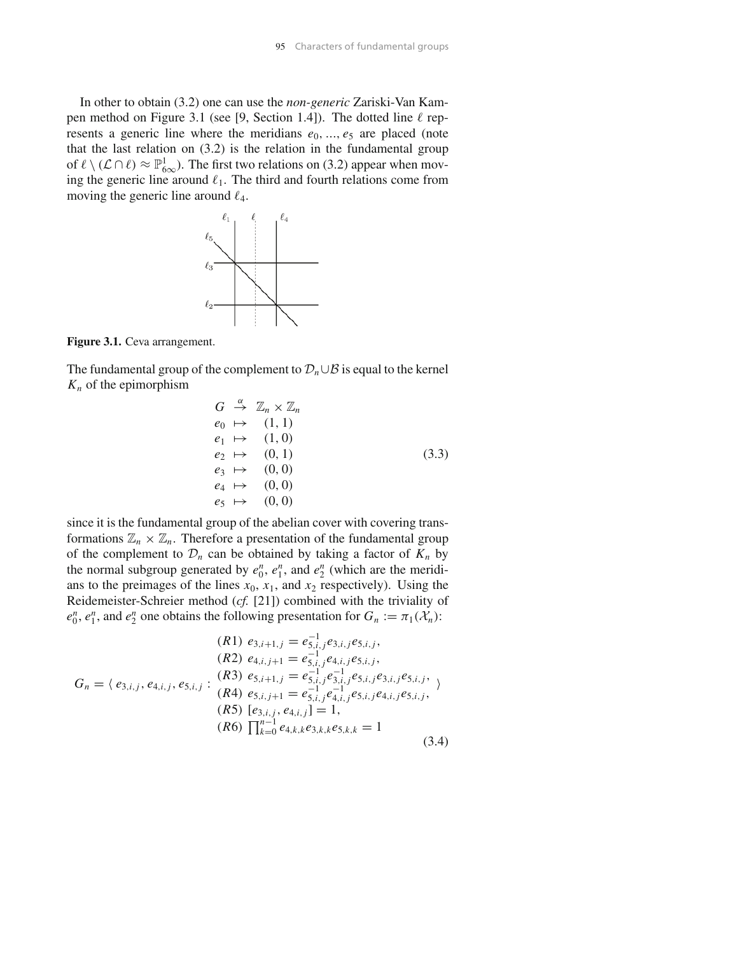In other to obtain (3.2) one can use the *non-generic* Zariski-Van Kampen method on Figure 3.1 (see [9, Section 1.4]). The dotted line  $\ell$  represents a generic line where the meridians  $e_0$ , ...,  $e_5$  are placed (note that the last relation on (3.2) is the relation in the fundamental group of  $\ell \setminus (\mathcal{L} \cap \ell) \approx \mathbb{P}^1_{\infty}$ . The first two relations on (3.2) appear when moving the generic line around  $\ell_1$ . The third and fourth relations come from moving the generic line around  $\ell_4$ .



**Figure 3.1.** Ceva arrangement.

The fundamental group of the complement to  $\mathcal{D}_n \cup \mathcal{B}$  is equal to the kernel  $K_n$  of the epimorphism

$$
G \stackrel{\alpha}{\rightarrow} \mathbb{Z}_n \times \mathbb{Z}_n
$$
  
\n
$$
e_0 \mapsto (1, 1)
$$
  
\n
$$
e_1 \mapsto (1, 0)
$$
  
\n
$$
e_2 \mapsto (0, 1)
$$
  
\n
$$
e_3 \mapsto (0, 0)
$$
  
\n
$$
e_4 \mapsto (0, 0)
$$
  
\n
$$
e_5 \mapsto (0, 0)
$$

since it is the fundamental group of the abelian cover with covering transformations  $\mathbb{Z}_n \times \mathbb{Z}_n$ . Therefore a presentation of the fundamental group of the complement to  $\mathcal{D}_n$  can be obtained by taking a factor of  $K_n$  by the normal subgroup generated by  $e_0^n$ ,  $e_1^n$ , and  $e_2^n$  (which are the meridians to the preimages of the lines  $x_0$ ,  $x_1$ , and  $x_2$  respectively). Using the Reidemeister-Schreier method (*cf.* [21]) combined with the triviality of  $e_0^n$ ,  $e_1^n$ , and  $e_2^n$  one obtains the following presentation for  $G_n := \pi_1(\mathcal{X}_n)$ :

$$
(R1) e_{3,i+1,j} = e_{5,i,j}^{-1} e_{3,i,j} e_{5,i,j},
$$
  
\n
$$
(R2) e_{4,i,j+1} = e_{5,i,j}^{-1} e_{4,i,j} e_{5,i,j},
$$
  
\n
$$
G_n = \langle e_{3,i,j}, e_{4,i,j}, e_{5,i,j} : (R3) e_{5,i+1,j} = e_{5,i,j}^{-1} e_{3,i,j}^{-1} e_{5,i,j} e_{5,i,j} e_{3,i,j} e_{5,i,j},
$$
  
\n
$$
(R4) e_{5,i,j+1} = e_{5,i,j}^{-1} e_{4,i,j}^{-1} e_{5,i,j} e_{4,i,j} e_{5,i,j},
$$
  
\n
$$
(R5) [e_{3,i,j}, e_{4,i,j}] = 1,
$$
  
\n
$$
(R6) \prod_{k=0}^{n-1} e_{4,k,k} e_{3,k,k} e_{5,k,k} = 1
$$
  
\n(3.4)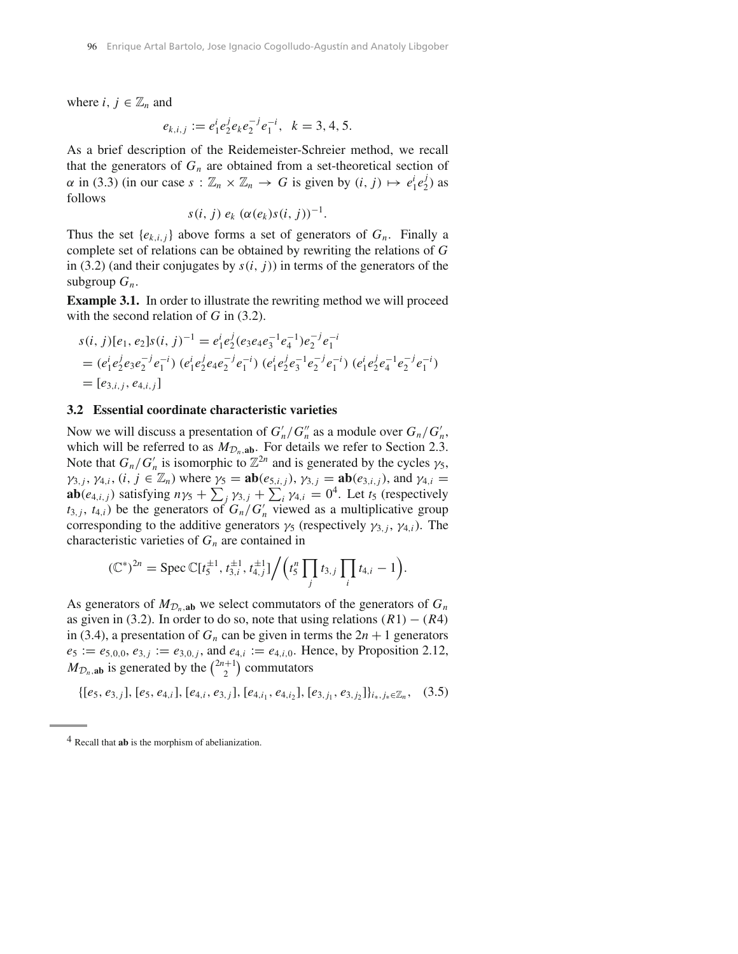where  $i, j \in \mathbb{Z}_n$  and

$$
e_{k,i,j} := e_1^i e_2^j e_k e_2^{-j} e_1^{-i}, \ \ k = 3, 4, 5.
$$

As a brief description of the Reidemeister-Schreier method, we recall that the generators of  $G_n$  are obtained from a set-theoretical section of  $\alpha$  in (3.3) (in our case  $s : \mathbb{Z}_n \times \mathbb{Z}_n \to G$  is given by  $(i, j) \mapsto e_1^i e_2^j$ ) as follows

$$
s(i, j) e_k (\alpha(e_k)s(i, j))^{-1}.
$$

Thus the set  $\{e_{k,i,j}\}$  above forms a set of generators of  $G_n$ . Finally a complete set of relations can be obtained by rewriting the relations of *G* in (3.2) (and their conjugates by  $s(i, j)$ ) in terms of the generators of the subgroup  $G_n$ .

**Example 3.1.** In order to illustrate the rewriting method we will proceed with the second relation of *G* in (3.2).

$$
s(i, j)[e_1, e_2]s(i, j)^{-1} = e_1^i e_2^j (e_3 e_4 e_3^{-1} e_4^{-1}) e_2^{-j} e_1^{-i}
$$
  
=  $(e_1^i e_2^j e_3 e_2^{-j} e_1^{-i}) (e_1^i e_2^j e_4 e_2^{-j} e_1^{-i}) (e_1^i e_2^j e_3^{-1} e_2^{-j} e_1^{-i}) (e_1^i e_2^j e_4^{-1} e_2^{-j} e_1^{-i})$   
=  $[e_{3,i,j}, e_{4,i,j}]$ 

#### **3.2 Essential coordinate characteristic varieties**

Now we will discuss a presentation of  $G'_{n}/G''_{n}$  as a module over  $G_{n}/G'_{n}$ , which will be referred to as  $M_{\mathcal{D}_n,ab}$ . For details we refer to Section 2.3. Note that  $G_n/G'_n$  is isomorphic to  $\mathbb{Z}^{2n}$  and is generated by the cycles  $\gamma_5$ ,  $\gamma_{3,j}$ ,  $\gamma_{4,i}$ ,  $(i, j \in \mathbb{Z}_n)$  where  $\gamma_5 = \mathbf{ab}(e_{5,i,j}), \gamma_{3,j} = \mathbf{ab}(e_{3,i,j})$ , and  $\gamma_{4,i} =$ **ab** $(e_{4,i,j})$  satisfying  $n\gamma_5 + \sum_j \gamma_{3,j} + \sum_i \gamma_{4,i} = 0^4$ . Let  $t_5$  (respectively  $t_{3,j}$ ,  $t_{4,i}$ ) be the generators of  $G_n/G'_n$  viewed as a multiplicative group corresponding to the additive generators  $\gamma_5$  (respectively  $\gamma_{3,i}$ ,  $\gamma_{4,i}$ ). The characteristic varieties of  $G_n$  are contained in

$$
(\mathbb{C}^*)^{2n} = \text{Spec } \mathbb{C}[t_5^{\pm 1}, t_{3,i}^{\pm 1}, t_{4,j}^{\pm 1}] \Big/ \Big(t_5^n \prod_j t_{3,j} \prod_i t_{4,i} - 1\Big).
$$

As generators of  $M_{\mathcal{D}_n,ab}$  we select commutators of the generators of  $G_n$ as given in (3.2). In order to do so, note that using relations  $(R1) - (R4)$ in (3.4), a presentation of  $G_n$  can be given in terms the  $2n + 1$  generators  $e_5 := e_{5,0,0}, e_{3,j} := e_{3,0,j}$ , and  $e_{4,i} := e_{4,i,0}$ . Hence, by Proposition 2.12,  $M_{\mathcal{D}_n, \text{ab}}$  is generated by the  $\binom{2n+1}{2}$  commutators

$$
\{[e_5, e_{3,j}], [e_5, e_{4,i}], [e_{4,i}, e_{3,j}], [e_{4,i_1}, e_{4,i_2}], [e_{3,j_1}, e_{3,j_2}]\}_{i_*,j_* \in \mathbb{Z}_n}, (3.5)
$$

<sup>4</sup> Recall that **ab** is the morphism of abelianization.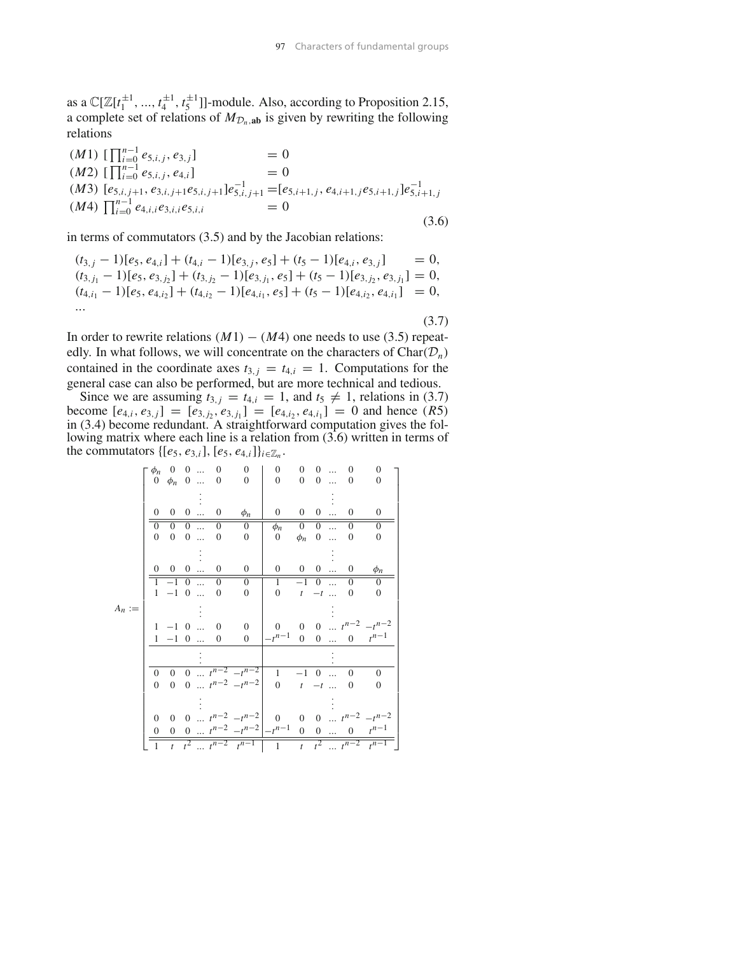as a  $\mathbb{C}[\mathbb{Z}[t_1^{\pm 1}, ..., t_4^{\pm 1}, t_5^{\pm 1}]]$ -module. Also, according to Proposition 2.15, a complete set of relations of  $M_{\mathcal{D}_n,ab}$  is given by rewriting the following relations

$$
(M1) \begin{bmatrix} \prod_{i=0}^{n-1} e_{5,i,j}, e_{3,j} \end{bmatrix} = 0
$$
  
\n
$$
(M2) \begin{bmatrix} \prod_{i=0}^{n-1} e_{5,i,j}, e_{4,i} \end{bmatrix} = 0
$$
  
\n
$$
(M3) \begin{bmatrix} e_{5,i,j+1}, e_{3,i,j+1}e_{5,i,j+1} \end{bmatrix} e_{5,i,j+1}^{-1} = [e_{5,i+1,j}, e_{4,i+1,j}e_{5,i+1,j}] e_{5,i+1,j}^{-1}
$$
  
\n
$$
(M4) \begin{bmatrix} \prod_{i=0}^{n-1} e_{4,i,i}e_{3,i,i}e_{5,i,i} \end{bmatrix} = 0
$$
  
\n(3.6)

in terms of commutators (3.5) and by the Jacobian relations:

$$
(t_{3,j} - 1)[e_5, e_{4,i}] + (t_{4,i} - 1)[e_{3,j}, e_5] + (t_5 - 1)[e_{4,i}, e_{3,j}] = 0,(t_{3,j_1} - 1)[e_5, e_{3,j_2}] + (t_{3,j_2} - 1)[e_{3,j_1}, e_5] + (t_5 - 1)[e_{3,j_2}, e_{3,j_1}] = 0,(t_{4,i_1} - 1)[e_5, e_{4,i_2}] + (t_{4,i_2} - 1)[e_{4,i_1}, e_5] + (t_5 - 1)[e_{4,i_2}, e_{4,i_1}] = 0,...
$$
\n(3.7)

In order to rewrite relations  $(M1) - (M4)$  one needs to use (3.5) repeatedly. In what follows, we will concentrate on the characters of  $Char(\mathcal{D}_n)$ contained in the coordinate axes  $t_{3,j} = t_{4,i} = 1$ . Computations for the general case can also be performed, but are more technical and tedious.

Since we are assuming  $t_{3,j} = t_{4,i} = 1$ , and  $t_5 \neq 1$ , relations in (3.7) become  $[e_{4,i}, e_{3,j}] = [e_{3,j_2}, e_{3,j_1}] = [e_{4,i_2}, e_{4,i_1}] = 0$  and hence  $(R5)$ in (3.4) become redundant. A straightforward computation gives the following matrix where each line is a relation from  $(3.6)$  written in terms of the commutators  $\{[e_5, e_{3,i}], [e_5, e_{4,i}]\}_{i \in \mathbb{Z}_n}$ .

|          | $\phi_n$       |                                                                           | $0 \quad 0 \quad $      | $\overline{0}$ | $\boldsymbol{0}$                                     | $\boldsymbol{0}$                    | $\overline{0}$ | $\overline{0}$          | $\ldots$  | $\Omega$       | $\mathbf{0}$                                                   |  |
|----------|----------------|---------------------------------------------------------------------------|-------------------------|----------------|------------------------------------------------------|-------------------------------------|----------------|-------------------------|-----------|----------------|----------------------------------------------------------------|--|
|          |                | $0 \phi_n \ 0 \dots$                                                      |                         | $\theta$       | $\overline{0}$                                       | $\Omega$                            | $\overline{0}$ | $0 \dots$               |           | $\Omega$       | $\Omega$                                                       |  |
|          |                |                                                                           |                         |                |                                                      |                                     |                |                         |           |                |                                                                |  |
|          | $\Omega$       |                                                                           | $0 \quad 0 \quad \dots$ | $\overline{0}$ | $\phi_n$                                             | $\overline{0}$                      |                | $0 \quad 0 \quad \dots$ |           | $\Omega$       | $\theta$                                                       |  |
|          | $\Omega$       | $\overline{0}$                                                            | $\boxed{0}$             | $\overline{0}$ | $\Omega$                                             | $\phi_n$                            | $\overline{0}$ | $\overline{0}$          | $\ddotsc$ | $\Omega$       | $\Omega$                                                       |  |
|          | $\overline{0}$ | $0 \quad 0 \quad \dots$                                                   |                         | $\mathbf{0}$   | $\boldsymbol{0}$                                     | $\mathbf{0}$                        |                | $\phi_n$ 0              |           | $\overline{0}$ | $\boldsymbol{0}$                                               |  |
|          |                |                                                                           |                         |                |                                                      |                                     |                |                         |           |                |                                                                |  |
|          |                | $0 \t 0 \t 0 \t $                                                         |                         | $\mathbf{0}$   | $\boldsymbol{0}$                                     | $\overline{0}$                      |                | $0 \quad 0 \quad \dots$ |           | $\overline{0}$ |                                                                |  |
|          |                |                                                                           |                         |                |                                                      |                                     |                |                         |           |                | $\phi_n$                                                       |  |
|          |                | $1 -1 0 $                                                                 |                         | $\overline{0}$ | $\Omega$                                             | $\mathbf{1}$                        |                | $-1$ 0                  |           | $\Omega$       | $\Omega$                                                       |  |
|          |                | $1\hspace{0.1cm} -\hspace{-0.1cm} 1\hspace{0.1cm} 0\hspace{0.1cm} \ldots$ |                         | $\theta$       | $\boldsymbol{0}$                                     | $\overline{0}$                      |                | $t - t$                 |           | $\theta$       | $\Omega$                                                       |  |
| $A_n :=$ |                |                                                                           |                         |                |                                                      |                                     |                |                         |           |                |                                                                |  |
|          |                | $1 -1 0  0$                                                               |                         |                | $\mathbf{0}$                                         | $\overline{0}$                      |                |                         |           |                | 0 0 $t^{n-2}$ $-t^{n-2}$                                       |  |
|          |                | $1 -1 0 $                                                                 |                         | $\mathbf{0}$   | $\overline{0}$                                       | $-t^{n-1}$                          |                |                         |           |                | $\begin{array}{cccc} 0 & 0 & \ldots & 0 & t^{n-1} \end{array}$ |  |
|          |                |                                                                           |                         |                |                                                      |                                     |                |                         |           |                |                                                                |  |
|          | $\overline{0}$ | $\overline{0}$                                                            |                         |                | $0 \ldots t^{n-2} - t^{n-2}$                         | $\mathbf{1}$                        |                | $-1$ 0                  |           | $\Omega$       | $\theta$                                                       |  |
|          | $\Omega$       |                                                                           |                         |                | 0 0 $t^{n-2} - t^{n-2}$                              | 0 $t$ $-t$                          |                |                         |           | $\overline{0}$ | $\theta$                                                       |  |
|          |                |                                                                           |                         |                |                                                      |                                     |                |                         |           |                |                                                                |  |
|          | $\Omega$       | $\overline{0}$                                                            |                         |                | 0 $t^{n-2} - t^{n-2}$                                | 0 0 0 $\cdots$ $t^{n-2}$ $-t^{n-2}$ |                |                         |           |                |                                                                |  |
|          | $\overline{0}$ |                                                                           |                         |                | 0 0 $t^{n-2} - t^{n-2}$ - $t^{n-1}$ 0 0  0 $t^{n-1}$ |                                     |                |                         |           |                |                                                                |  |
|          | $\mathbf{1}$   |                                                                           |                         |                | $t$ $t^{2}$ $t^{n-2}$ $t^{n-1}$                      | 1                                   |                |                         |           |                | $t$ $t^2$ $t^{n-2}$ $t^{n-1}$                                  |  |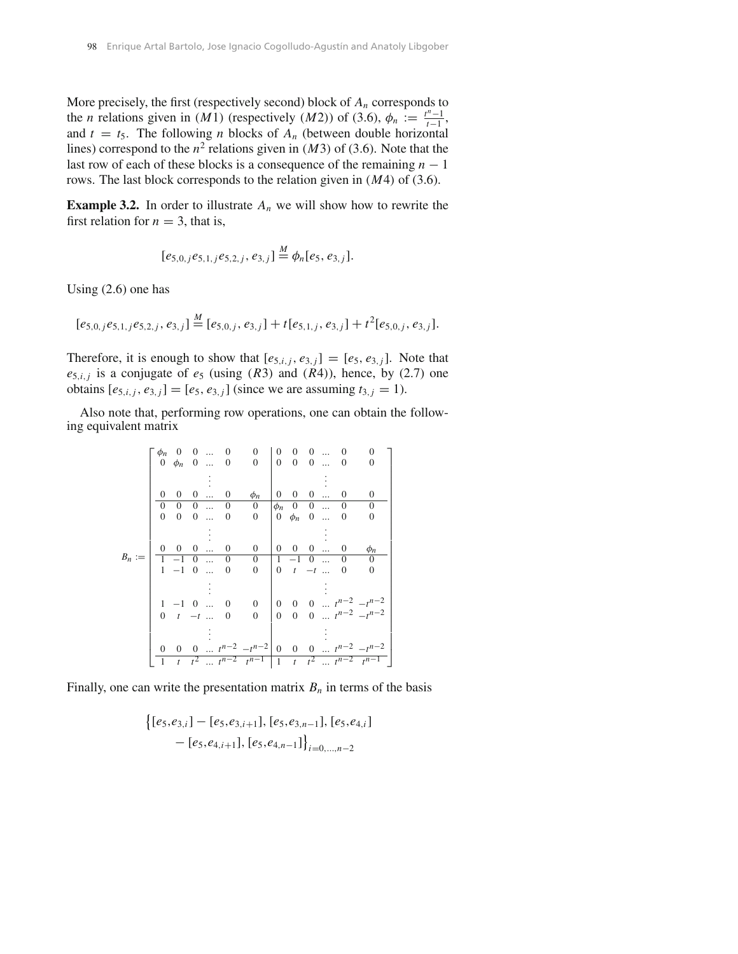More precisely, the first (respectively second) block of  $A_n$  corresponds to the *n* relations given in *(M1)* (respectively *(M2)*) of (3.6),  $\phi_n := \frac{t^n - 1}{t - 1}$ and  $t = t_5$ . The following *n* blocks of  $A_n$  (between double horizontal lines) correspond to the  $n^2$  relations given in *(M3)* of (3.6). Note that the last row of each of these blocks is a consequence of the remaining *n* − 1 rows. The last block corresponds to the relation given in *(M*4*)* of (3.6).

**Example 3.2.** In order to illustrate  $A_n$  we will show how to rewrite the first relation for  $n = 3$ , that is,

$$
[e_{5,0,j}e_{5,1,j}e_{5,2,j},e_{3,j}]\stackrel{M}{=}\phi_n[e_5,e_{3,j}].
$$

Using (2.6) one has

$$
[e_{5,0,j}e_{5,1,j}e_{5,2,j},e_{3,j}]\stackrel{M}{=} [e_{5,0,j},e_{3,j}]+t[e_{5,1,j},e_{3,j}]+t^2[e_{5,0,j},e_{3,j}].
$$

Therefore, it is enough to show that  $[e_{5,i,j}, e_{3,j}] = [e_5, e_{3,j}]$ . Note that  $e_{5,i,j}$  is a conjugate of  $e_5$  (using *(R3)* and *(R4)*), hence, by (2.7) one obtains  $[e_{5,i,j}, e_{3,j}] = [e_5, e_{3,j}]$  (since we are assuming  $t_{3,j} = 1$ ).

Also note that, performing row operations, one can obtain the following equivalent matrix

|          | $\phi_n$       | $\overline{0}$                   | $\overline{0}$ | $\cdots$ | $\overline{0}$   | $\overline{0}$                                              | 0              | $\overline{0}$                | $\overline{0}$ | $\dddotsc$ | 0                | 0                        |  |
|----------|----------------|----------------------------------|----------------|----------|------------------|-------------------------------------------------------------|----------------|-------------------------------|----------------|------------|------------------|--------------------------|--|
|          |                | $0 \phi_n \quad 0 \dots \quad 0$ |                |          |                  | $\overline{0}$                                              |                | $0\quad 0\quad 0\quad \ldots$ |                |            | $\overline{0}$   | $\overline{0}$           |  |
|          |                |                                  |                |          |                  |                                                             |                |                               |                |            |                  |                          |  |
|          | 0              | $\overline{0}$                   | $\overline{0}$ | $\cdots$ | 0                | $\phi_n$                                                    | $\mathbf{0}$   | $\overline{0}$                | $0 \ldots$     |            | $\mathbf{0}$     | $\boldsymbol{0}$         |  |
|          | $\mathbf{0}$   | $\overline{0}$                   | $\overline{0}$ |          | $\boldsymbol{0}$ | $\boldsymbol{0}$                                            | $\phi_n$       | $0 \quad 0 \quad \dots$       |                |            | $\mathbf{0}$     | $\boldsymbol{0}$         |  |
|          | $\mathbf{0}$   | $0 \quad 0$                      |                | $\cdots$ | $\boldsymbol{0}$ | $\mathbf{0}$                                                |                | $0 \phi_n \quad 0 \dots$      |                |            | $\mathbf{0}$     | $\theta$                 |  |
|          |                |                                  |                |          |                  |                                                             |                |                               |                |            |                  |                          |  |
|          |                |                                  |                |          |                  |                                                             |                |                               |                |            |                  |                          |  |
|          | 0              | $\overline{0}$                   | $\overline{0}$ | $\cdots$ | $\boldsymbol{0}$ | $\boldsymbol{0}$                                            | $\overline{0}$ | $0 \quad 0 \quad \dots$       |                |            | $\boldsymbol{0}$ | $\phi_n$                 |  |
| $B_n :=$ |                | $1 -1 0 $                        |                |          | $\mathbf{0}$     | $\overline{0}$                                              |                | $1 -1 0 $                     |                |            | $\theta$         | $\overline{0}$           |  |
|          |                | $1 -1 0$                         |                | $\ldots$ | $\boldsymbol{0}$ | $\mathbf{0}$                                                |                | 0 $t$ $-t$                    |                |            | $\mathbf{0}$     | $\theta$                 |  |
|          |                |                                  |                |          |                  |                                                             |                |                               |                |            |                  |                          |  |
|          |                |                                  |                |          |                  |                                                             |                |                               |                |            |                  |                          |  |
|          |                | $1 -1 0 $                        |                |          | $\mathbf{0}$     | $\mathbf{0}$                                                | $\overline{0}$ |                               |                |            |                  | 0 0 $t^{n-2}$ $-t^{n-2}$ |  |
|          | $\overline{0}$ | $t - t$                          |                |          | $\theta$         | $\mathbf{0}$                                                | $\overline{0}$ |                               |                |            |                  | 0 0 $t^{n-2}$ $-t^{n-2}$ |  |
|          |                |                                  |                |          |                  |                                                             |                |                               |                |            |                  |                          |  |
|          |                |                                  |                |          |                  |                                                             |                |                               |                |            |                  |                          |  |
|          | 0              |                                  |                |          |                  | 0 0 $t^{n-2} - t^{n-2}$                                     | $\overline{0}$ |                               |                |            |                  | 0 0 $t^{n-2}$ $-t^{n-2}$ |  |
|          | 1              | t                                |                |          |                  | $t^2$ $t^{n-2}$ $t^{n-1}$   1 $t$ $t^2$ $t^{n-2}$ $t^{n-1}$ |                |                               |                |            |                  |                          |  |

Finally, one can write the presentation matrix  $B_n$  in terms of the basis

$$
\begin{aligned} \left\{ [e_5,e_{3,i}] - [e_5,e_{3,i+1}], [e_5,e_{3,n-1}], [e_5,e_{4,i}] \right\} \\ - [e_5,e_{4,i+1}], [e_5,e_{4,n-1}] \right\}_{i=0,\ldots,n-2} \end{aligned}
$$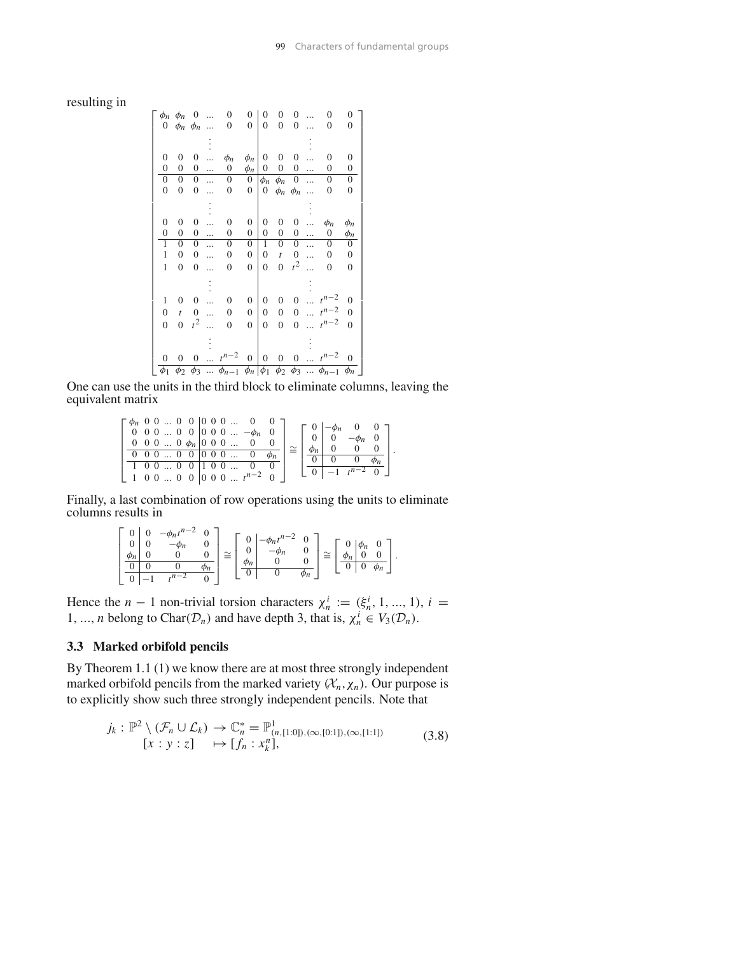## resulting in

|                  | $\phi_n$ $\phi_n$   | 0                | .         | $\Omega$                                                                            | $\Omega$         | 0              | 0                 | 0                |           | 0                  | 0                |
|------------------|---------------------|------------------|-----------|-------------------------------------------------------------------------------------|------------------|----------------|-------------------|------------------|-----------|--------------------|------------------|
|                  | 0 $\phi_n$ $\phi_n$ |                  | $\ddotsc$ | $\Omega$                                                                            | $\overline{0}$   | $\overline{0}$ | $\theta$          | $\overline{0}$   |           | $\Omega$           | $\mathbf{0}$     |
|                  |                     |                  |           |                                                                                     |                  |                |                   |                  |           |                    |                  |
| $\overline{0}$   | 0                   | 0                |           | $\phi_n$                                                                            | $\phi_n$         | 0              | 0                 | 0                |           | $\overline{0}$     | 0                |
| $\overline{0}$   | $\overline{0}$      | 0                | .         | 0                                                                                   | $\phi_n$         | 0              | 0                 | $\mathbf{0}$     | .         | 0                  | 0                |
| $\mathbf{0}$     | 0                   | 0                | $\ddotsc$ | 0                                                                                   | 0                | $\phi_n$       | $\phi_n$          | $\boldsymbol{0}$ | .         | 0                  | 0                |
| $\overline{0}$   | $\overline{0}$      | 0                | .         | 0                                                                                   | $\overline{0}$   | 0              | $\phi_n$ $\phi_n$ |                  |           | 0                  | 0                |
|                  |                     |                  |           |                                                                                     |                  |                |                   |                  |           |                    |                  |
| $\theta$         | 0                   | 0                |           | $\mathbf{0}$                                                                        | $\overline{0}$   | 0              | 0                 | $\boldsymbol{0}$ |           | $\phi_n$           | $\phi_n$         |
| $\overline{0}$   | $\overline{0}$      | 0                | .         | $\mathbf{0}$                                                                        | $\mathbf{0}$     | $\overline{0}$ | $\overline{0}$    | $\mathbf{0}$     | .         | 0                  | $\phi_n$         |
| 1                | 0                   | 0                | $\ddotsc$ | $\boldsymbol{0}$                                                                    | 0                | 1              | $\mathbf{0}$      | 0                | $\ddotsc$ | 0                  | $\boldsymbol{0}$ |
| 1                | 0                   | 0                | .         | 0                                                                                   | $\mathbf{0}$     | 0              | $\bar{t}$         | 0                | .         | 0                  | 0                |
| 1                | $\overline{0}$      | $\overline{0}$   |           | $\overline{0}$                                                                      | $\overline{0}$   | $\theta$       | $\overline{0}$    | $t^2$            |           | $\overline{0}$     | $\overline{0}$   |
|                  |                     |                  |           |                                                                                     |                  |                |                   |                  |           |                    |                  |
| 1                | 0                   | $\boldsymbol{0}$ | $\ddotsc$ | $\theta$                                                                            | $\boldsymbol{0}$ | 0              | 0                 | $\boldsymbol{0}$ | $\ddotsc$ | $t^{n-2}$          | $\overline{0}$   |
| $\overline{0}$   | $\boldsymbol{t}$    | 0                | $\ddotsc$ | $\overline{0}$                                                                      | $\boldsymbol{0}$ | 0              | $\boldsymbol{0}$  | $\boldsymbol{0}$ |           | $t^{n-2}$          | $\overline{0}$   |
| $\overline{0}$   | $\overline{0}$      | $t^2$            |           | $\theta$                                                                            | $\overline{0}$   | $\overline{0}$ | $\overline{0}$    | $\overline{0}$   |           | $t^{n-2}$          | $\overline{0}$   |
|                  |                     |                  |           |                                                                                     |                  |                |                   |                  |           |                    |                  |
| $\boldsymbol{0}$ | $\boldsymbol{0}$    | $\boldsymbol{0}$ |           | $\cdots$ $t^{n-2}$                                                                  | $\overline{0}$   | 0              | $\boldsymbol{0}$  | $\boldsymbol{0}$ |           | $\cdots$ $t^{n-2}$ | $\overline{0}$   |
| $\phi_1$         | $\phi_2$            | $\phi_3$         |           | $\ldots \phi_{n-1} \overline{\phi_n \phi_1 \phi_2 \phi_3 \ldots \phi_{n-1} \phi_n}$ |                  |                |                   |                  |           |                    |                  |

One can use the units in the third block to eliminate columns, leaving the equivalent matrix

$$
\left[\begin{array}{cccc|c} \phi_n & 0 & 0 & \dots & 0 & 0 & 0 & 0 & \dots & 0 & 0 \\ 0 & 0 & 0 & \dots & 0 & 0 & 0 & 0 & \dots & -\phi_n & 0 \\ 0 & 0 & 0 & \dots & 0 & \phi_n & 0 & 0 & 0 & \dots & 0 & 0 \\ \hline 0 & 0 & 0 & \dots & 0 & 0 & 0 & 0 & \dots & 0 & \phi_n \\ \hline 1 & 0 & 0 & \dots & 0 & 0 & 1 & 0 & \dots & 0 & 0 \\ 1 & 0 & 0 & \dots & 0 & 0 & 0 & 0 & \dots & t^{n-2} & 0 \end{array}\right] \cong \left[\begin{array}{c|c} 0 & -\phi_n & 0 & 0 & 0 \\ 0 & 0 & -\phi_n & 0 & 0 & 0 \\ \hline \phi_n & 0 & 0 & 0 & 0 & 0 \\ \hline 0 & 0 & 0 & \phi_n & 0 & 0 \\ \hline 0 & -1 & t^{n-2} & 0 & 0 \end{array}\right].
$$

Finally, a last combination of row operations using the units to eliminate columns results in

$$
\begin{bmatrix} 0 & 0 & -\phi_n t^{n-2} & 0 \\ 0 & 0 & -\phi_n & 0 \\ \frac{\phi_n}{0} & 0 & 0 & 0 \\ 0 & -1 & t^{n-2} & 0 \end{bmatrix} \cong \begin{bmatrix} 0 & -\phi_n t^{n-2} & 0 \\ 0 & -\phi_n & 0 \\ \frac{\phi_n}{0} & 0 & 0 \\ 0 & 0 & \phi_n \end{bmatrix} \cong \begin{bmatrix} 0 & \phi_n & 0 \\ \frac{\phi_n}{0} & 0 & 0 \\ 0 & 0 & \phi_n \end{bmatrix}.
$$

Hence the *n* − 1 non-trivial torsion characters  $\chi_n^i := (\xi_n^i, 1, ..., 1), i =$ 1, ..., *n* belong to Char( $D_n$ ) and have depth 3, that is,  $\chi_n^i \in V_3(D_n)$ .

# **3.3 Marked orbifold pencils**

By Theorem 1.1 (1) we know there are at most three strongly independent marked orbifold pencils from the marked variety  $(X_n, \chi_n)$ . Our purpose is to explicitly show such three strongly independent pencils. Note that

$$
j_k: \mathbb{P}^2 \setminus (\mathcal{F}_n \cup \mathcal{L}_k) \to \mathbb{C}_n^* = \mathbb{P}^1_{(n,[1:0]), (\infty,[0:1]), (\infty,[1:1])}
$$
  
[ $x: y: z$ ]  $\mapsto [f_n: x_k^n],$  (3.8)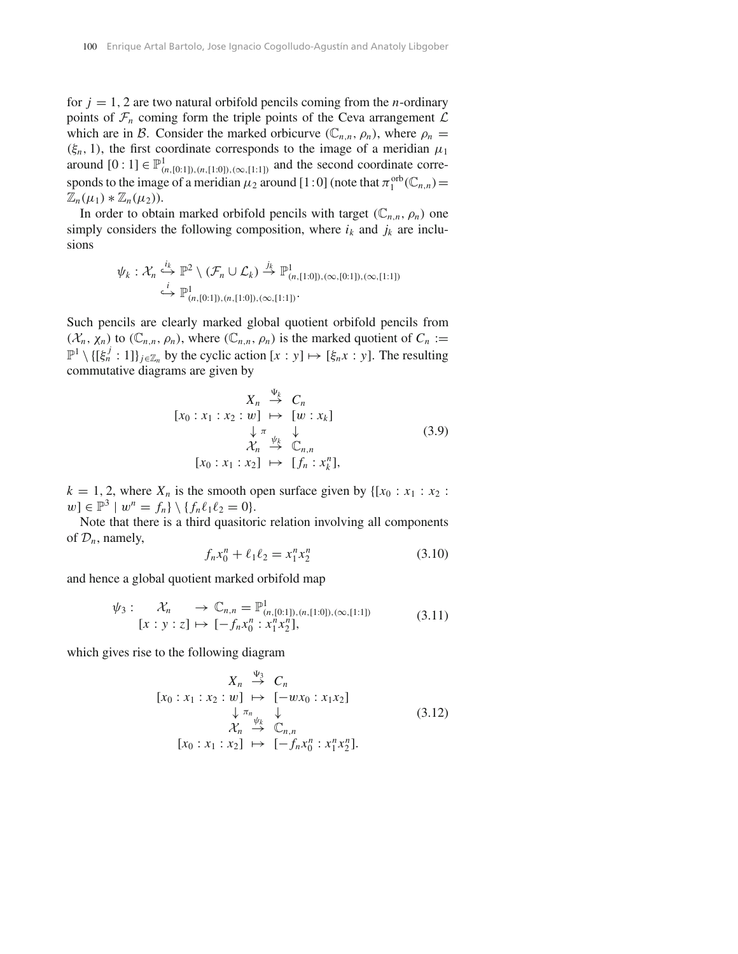for  $j = 1, 2$  are two natural orbifold pencils coming from the *n*-ordinary points of  $\mathcal{F}_n$  coming form the triple points of the Ceva arrangement  $\mathcal L$ which are in *B*. Consider the marked orbicurve  $(\mathbb{C}_{n,n}, \rho_n)$ , where  $\rho_n =$  $(\xi_n, 1)$ , the first coordinate corresponds to the image of a meridian  $\mu_1$ around  $[0:1]$  ∈  $\mathbb{P}^1_{(n,[0:1]),(n,[1:0]),(\infty,[1:1])}$  and the second coordinate corresponds to the image of a meridian  $\mu_2$  around [1:0] (note that  $\pi_1^{\text{orb}}(\mathbb{C}_{n,n}) =$  $\mathbb{Z}_n(\mu_1) * \mathbb{Z}_n(\mu_2)$ .

In order to obtain marked orbifold pencils with target  $(\mathbb{C}_{n,n}, \rho_n)$  one simply considers the following composition, where  $i_k$  and  $j_k$  are inclusions

$$
\psi_k : \mathcal{X}_n \stackrel{i_k}{\hookrightarrow} \mathbb{P}^2 \setminus (\mathcal{F}_n \cup \mathcal{L}_k) \stackrel{j_k}{\to} \mathbb{P}^1_{(n,[1:0]), (\infty, [0:1]), (\infty, [1:1])}
$$
  

$$
\stackrel{i}{\hookrightarrow} \mathbb{P}^1_{(n,[0:1]), (n,[1:0]), (\infty, [1:1])}.
$$

Such pencils are clearly marked global quotient orbifold pencils from  $(\mathcal{X}_n, \chi_n)$  to  $(\mathbb{C}_{n,n}, \rho_n)$ , where  $(\mathbb{C}_{n,n}, \rho_n)$  is the marked quotient of  $C_n :=$  $\mathbb{P}^1 \setminus \{[\xi_n^j : 1]\}_{j \in \mathbb{Z}_n}$  by the cyclic action  $[x : y] \mapsto [\xi_n x : y]$ . The resulting commutative diagrams are given by

$$
X_n \stackrel{\Psi_k}{\to} C_n
$$
  
\n
$$
[x_0 : x_1 : x_2 : w] \mapsto [w : x_k]
$$
  
\n
$$
\downarrow \pi \downarrow
$$
  
\n
$$
\chi_n \stackrel{\psi_k}{\to} \mathbb{C}_{n,n}
$$
  
\n
$$
[x_0 : x_1 : x_2] \mapsto [f_n : x_k^n],
$$
  
\n(3.9)

 $k = 1, 2$ , where  $X_n$  is the smooth open surface given by  $\{[x_0 : x_1 : x_2 : x_2 : x_2 : x_3 : x_3 : x_4 : x_5 : x_6 \}$  $w \in \mathbb{P}^3 \mid w^n = f_n \} \setminus \{ f_n \ell_1 \ell_2 = 0 \}.$ 

Note that there is a third quasitoric relation involving all components of  $\mathcal{D}_n$ , namely,

$$
f_n x_0^n + \ell_1 \ell_2 = x_1^n x_2^n \tag{3.10}
$$

and hence a global quotient marked orbifold map

$$
\psi_3: \mathcal{X}_n \to \mathbb{C}_{n,n} = \mathbb{P}^1_{(n,[0:1]),(n,[1:0]),(\infty,[1:1])}
$$
  

$$
[x:y:z] \mapsto [-f_n x_0^n : x_1^n x_2^n],
$$
 (3.11)

which gives rise to the following diagram

$$
\begin{array}{rcl}\nX_n & \stackrel{\Psi_3}{\rightarrow} & C_n \\
[x_0 : x_1 : x_2 : w] & \mapsto & [-wx_0 : x_1x_2] \\
& \downarrow \pi_n \\
\chi_n & \stackrel{\Psi_k}{\rightarrow} & \mathbb{C}_{n,n} \\
[x_0 : x_1 : x_2] & \mapsto & [-f_nx_0^n : x_1^n x_2^n].\n\end{array}\n\tag{3.12}
$$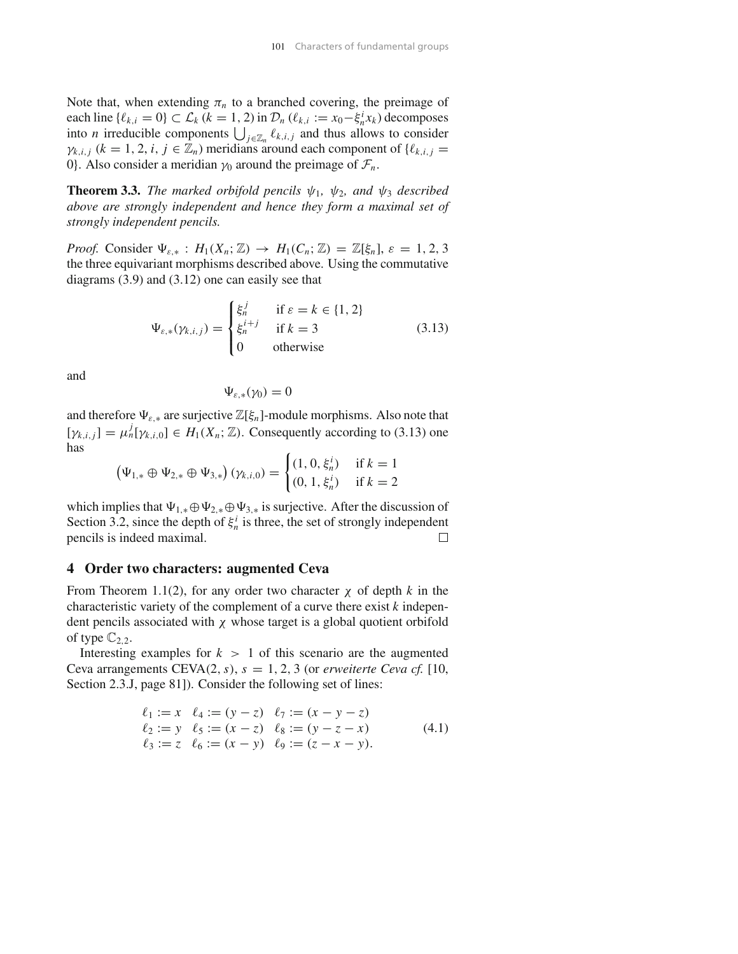Note that, when extending  $\pi_n$  to a branched covering, the preimage of each line  $\{\ell_{k,i} = 0\} \subset \mathcal{L}_k$  ( $k = 1, 2$ ) in  $\mathcal{D}_n$  ( $\ell_{k,i} := x_0 - \xi_n^i x_k$ ) decomposes into *n* irreducible components  $\bigcup_{j\in\mathbb{Z}_n} \ell_{k,i,j}$  and thus allows to consider  $\gamma_{k,i,j}$  ( $k = 1, 2, i, j \in \mathbb{Z}_n$ ) meridians around each component of { $\ell_{k,i,j}$  = 0}. Also consider a meridian  $\gamma_0$  around the preimage of  $\mathcal{F}_n$ .

**Theorem 3.3.** *The marked orbifold pencils*  $\psi_1$ *,*  $\psi_2$ *, and*  $\psi_3$  *described above are strongly independent and hence they form a maximal set of strongly independent pencils.*

*Proof.* Consider  $\Psi_{\varepsilon,*}$  :  $H_1(X_n; \mathbb{Z}) \to H_1(C_n; \mathbb{Z}) = \mathbb{Z}[\xi_n], \varepsilon = 1, 2, 3$ the three equivariant morphisms described above. Using the commutative diagrams (3.9) and (3.12) one can easily see that

$$
\Psi_{\varepsilon,*}(\gamma_{k,i,j}) = \begin{cases}\n\xi_n^j & \text{if } \varepsilon = k \in \{1, 2\} \\
\xi_n^{i+j} & \text{if } k = 3 \\
0 & \text{otherwise}\n\end{cases}
$$
\n(3.13)

and

$$
\Psi_{\varepsilon,*}(\gamma_0)=0
$$

and therefore  $\Psi_{\varepsilon,*}$  are surjective  $\mathbb{Z}[\xi_n]$ -module morphisms. Also note that  $[\gamma_{k,i,j}] = \mu_n^j[\gamma_{k,i,0}] \in H_1(X_n; \mathbb{Z})$ . Consequently according to (3.13) one has  $\overline{a}$ 

$$
\left(\Psi_{1,*} \oplus \Psi_{2,*} \oplus \Psi_{3,*}\right)(\gamma_{k,i,0}) = \begin{cases} (1,0,\xi_n^i) & \text{if } k = 1\\ (0,1,\xi_n^i) & \text{if } k = 2 \end{cases}
$$

which implies that  $\Psi_{1,*} \oplus \Psi_{2,*} \oplus \Psi_{3,*}$  is surjective. After the discussion of Section 3.2, since the depth of  $\xi_n^i$  is three, the set of strongly independent pencils is indeed maximal.  $\Box$ 

#### **4 Order two characters: augmented Ceva**

From Theorem 1.1(2), for any order two character  $\chi$  of depth k in the characteristic variety of the complement of a curve there exist *k* independent pencils associated with  $\chi$  whose target is a global quotient orbifold of type  $\mathbb{C}_{2,2}$ .

Interesting examples for  $k > 1$  of this scenario are the augmented Ceva arrangements CEVA $(2, s)$ ,  $s = 1, 2, 3$  (or *erweiterte Ceva cf.* [10, Section 2.3.J, page 81]). Consider the following set of lines:

$$
\ell_1 := x \quad \ell_4 := (y - z) \quad \ell_7 := (x - y - z) \n\ell_2 := y \quad \ell_5 := (x - z) \quad \ell_8 := (y - z - x) \n\ell_3 := z \quad \ell_6 := (x - y) \quad \ell_9 := (z - x - y).
$$
\n(4.1)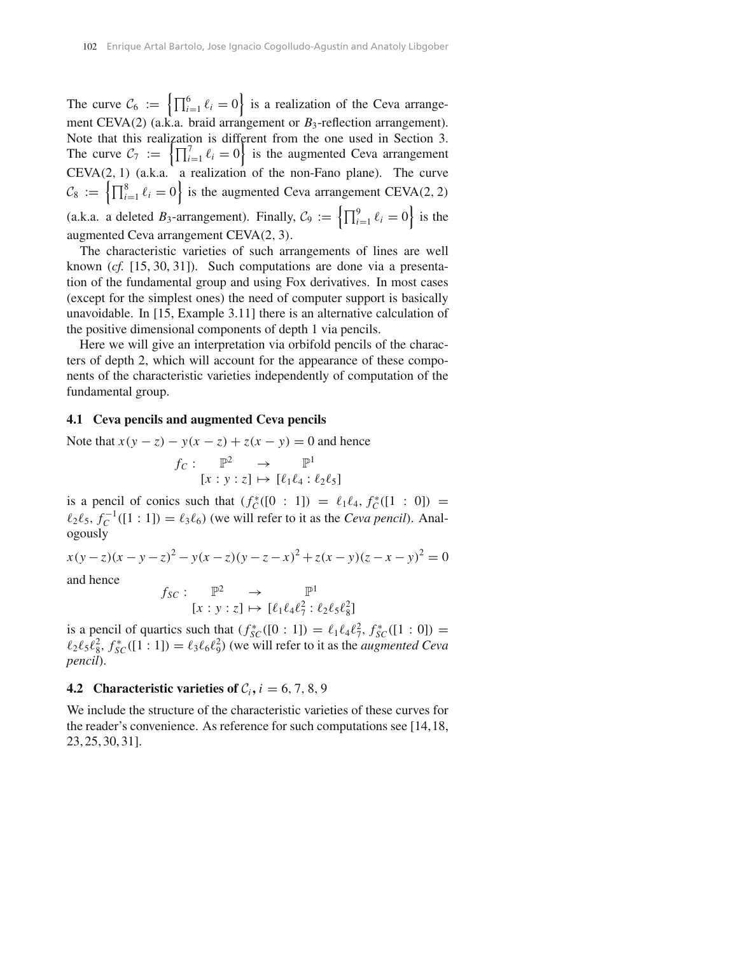The curve  $C_6 := \left\{ \prod_{i=1}^6 \ell_i = 0 \right\}$  is a realization of the Ceva arrangement CEVA(2) (a.k.a. braid arrangement or  $B_3$ -reflection arrangement). Note that this realization is different from the one used in Section 3. The curve  $C_7 := \left\{ \prod_{i=1}^{7} \ell_i = 0 \right\}$  is the augmented Ceva arrangement CEVA*(*2*,* 1*)* (a.k.a. a realization of the non-Fano plane). The curve  $C_8 := \left\{ \prod_{i=1}^8 \ell_i = 0 \right\}$  is the augmented Ceva arrangement CEVA(2, 2) (a.k.a. a deleted  $B_3$ -arrangement). Finally,  $C_9 := \left\{ \prod_{i=1}^9 \ell_i = 0 \right\}$  is the augmented Ceva arrangement CEVA*(*2*,* 3*)*.

The characteristic varieties of such arrangements of lines are well known (*cf.* [15, 30, 31]). Such computations are done via a presentation of the fundamental group and using Fox derivatives. In most cases (except for the simplest ones) the need of computer support is basically unavoidable. In [15, Example 3.11] there is an alternative calculation of the positive dimensional components of depth 1 via pencils.

Here we will give an interpretation via orbifold pencils of the characters of depth 2, which will account for the appearance of these components of the characteristic varieties independently of computation of the fundamental group.

#### **4.1 Ceva pencils and augmented Ceva pencils**

Note that 
$$
x(y - z) - y(x - z) + z(x - y) = 0
$$
 and hence  
\n
$$
f_C: \mathbb{P}^2 \to \mathbb{P}^1
$$
\n
$$
[x : y : z] \mapsto [\ell_1 \ell_4 : \ell_2 \ell_5]
$$

is a pencil of conics such that  $(f_C^*([0 : 1]) = \ell_1 \ell_4, f_C^*([1 : 0]) =$  $\ell_2 \ell_5$ ,  $f_C^{-1}([1:1]) = \ell_3 \ell_6$ ) (we will refer to it as the *Ceva pencil*). Analogously

 $x(y-z)(x-y-z)^2 - y(x-z)(y-z-x)^2 + z(x-y)(z-x-y)^2 = 0$ and hence  $f_{SC}: \mathbb{P}^2 \longrightarrow \mathbb{P}^1$ 

 $[x : y : z] \mapsto [\ell_1 \ell_4 \ell_7^2 : \ell_2 \ell_5 \ell_8^2]$ 

is a pencil of quartics such that  $(f_{SC}^{*}([0:1]) = \ell_1 \ell_4 \ell_7^2, f_{SC}^{*}([1:0]) =$  $\ell_2 \ell_5 \ell_8^2$ ,  $f_{SC}^*([1:1]) = \ell_3 \ell_6 \ell_9^2$  (we will refer to it as the *augmented Ceva pencil*).

# **4.2** Characteristic varieties of  $C_i$ ,  $i = 6, 7, 8, 9$

We include the structure of the characteristic varieties of these curves for the reader's convenience. As reference for such computations see [14,18, 23, 25, 30, 31].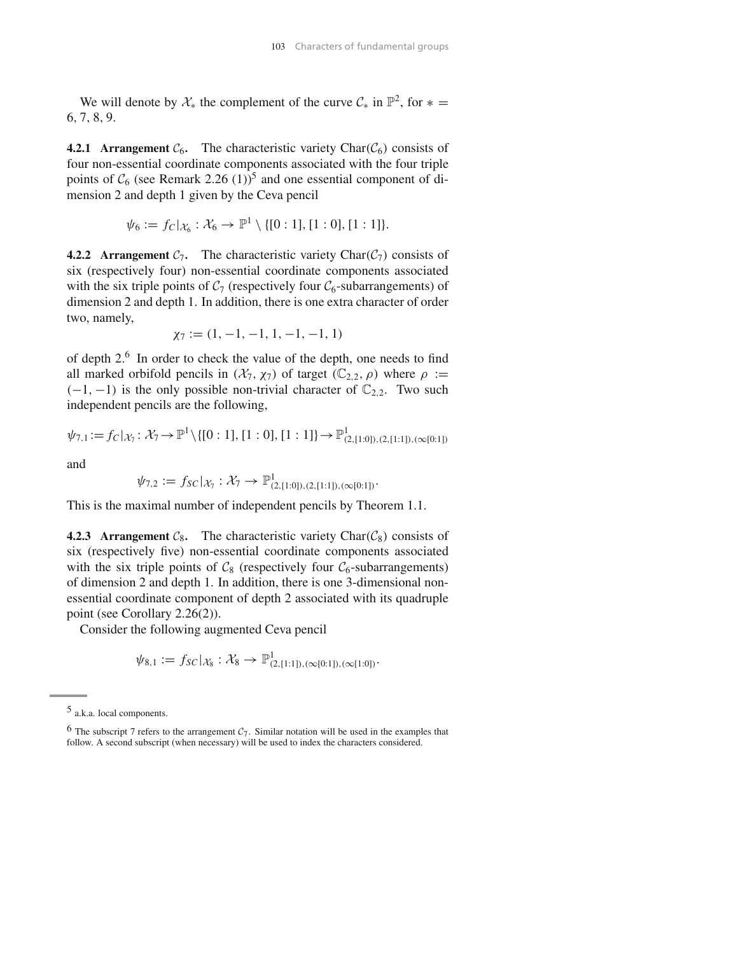We will denote by  $\mathcal{X}_*$  the complement of the curve  $\mathcal{C}_*$  in  $\mathbb{P}^2$ , for  $* =$ 6*,* 7*,* 8*,* 9.

**4.2.1 Arrangement**  $C_6$ . The characteristic variety Char $(C_6)$  consists of four non-essential coordinate components associated with the four triple points of  $C_6$  (see Remark 2.26 (1))<sup>5</sup> and one essential component of dimension 2 and depth 1 given by the Ceva pencil

$$
\psi_6 := f_C|_{\mathcal{X}_6} : \mathcal{X}_6 \to \mathbb{P}^1 \setminus \{[0:1], [1:0], [1:1]\}.
$$

**4.2.2 Arrangement**  $C_7$ . The characteristic variety Char $(C_7)$  consists of six (respectively four) non-essential coordinate components associated with the six triple points of  $C_7$  (respectively four  $C_6$ -subarrangements) of dimension 2 and depth 1. In addition, there is one extra character of order two, namely,

$$
\chi_7:=(1,\,-1,\,-1,\,1,\,-1,\,-1,\,1)
$$

of depth 2.6 In order to check the value of the depth, one needs to find all marked orbifold pencils in  $(\mathcal{X}_7, \chi_7)$  of target  $(\mathbb{C}_{2,2}, \rho)$  where  $\rho :=$  $(-1, -1)$  is the only possible non-trivial character of  $\mathbb{C}_{2,2}$ . Two such independent pencils are the following,

$$
\psi_{7,1} := f_C |_{\mathcal{X}_7} : \mathcal{X}_7 \to \mathbb{P}^1 \setminus \{ [0:1], [1:0], [1:1] \} \to \mathbb{P}^1_{(2,[1:0]), (2,[1:1]), (\infty [0:1])}
$$

and

$$
\psi_{7,2} := f_{SC}|_{\mathcal{X}_7} : \mathcal{X}_7 \to \mathbb{P}^1_{(2,[1:0]), (2,[1:1]), (\infty[0:1])}.
$$

This is the maximal number of independent pencils by Theorem 1.1.

**4.2.3 Arrangement**  $C_8$ . The characteristic variety Char $(C_8)$  consists of six (respectively five) non-essential coordinate components associated with the six triple points of  $C_8$  (respectively four  $C_6$ -subarrangements) of dimension 2 and depth 1. In addition, there is one 3-dimensional nonessential coordinate component of depth 2 associated with its quadruple point (see Corollary 2.26(2)).

Consider the following augmented Ceva pencil

$$
\psi_{8,1} := f_{SC}|_{\mathcal{X}_8} : \mathcal{X}_8 \to \mathbb{P}^1_{(2,[1:1]), (\infty[0:1]), (\infty[1:0])}.
$$

<sup>5</sup> a.k.a. local components.

<sup>&</sup>lt;sup>6</sup> The subscript 7 refers to the arrangement  $C_7$ . Similar notation will be used in the examples that follow. A second subscript (when necessary) will be used to index the characters considered.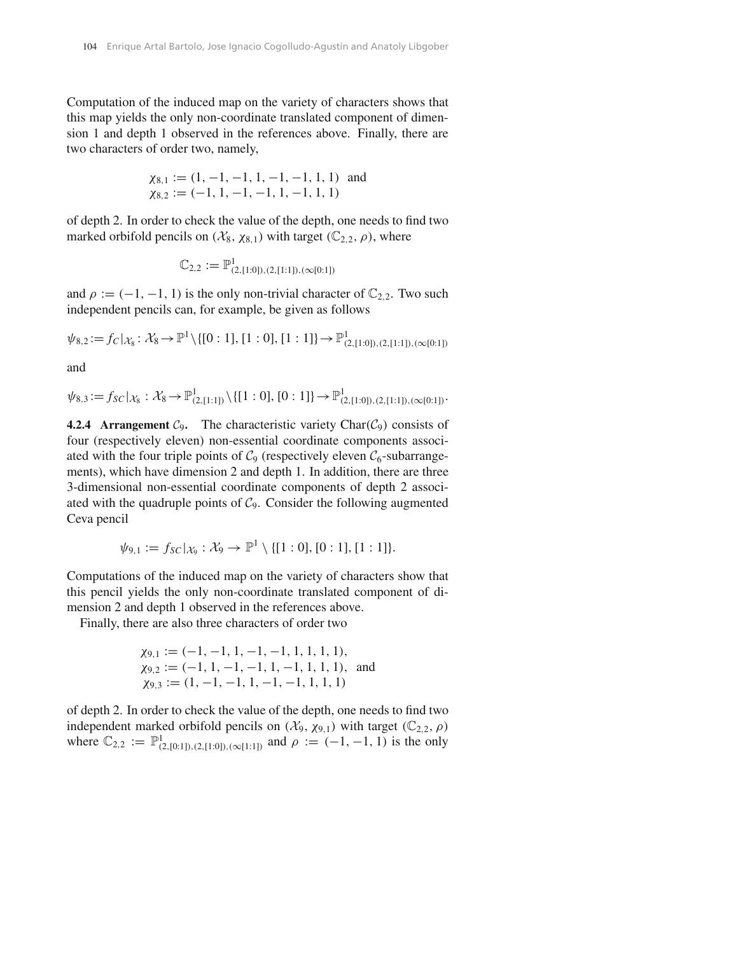Computation of the induced map on the variety of characters shows that this map yields the only non-coordinate translated component of dimension 1 and depth 1 observed in the references above. Finally, there are two characters of order two, namely,

$$
\chi_{8,1} := (1, -1, -1, 1, -1, -1, 1, 1)
$$
 and  
 $\chi_{8,2} := (-1, 1, -1, -1, 1, -1, 1, 1)$ 

of depth 2. In order to check the value of the depth, one needs to find two marked orbifold pencils on  $(\mathcal{X}_8, \chi_{8,1})$  with target  $(\mathbb{C}_{2,2}, \rho)$ , where

$$
\mathbb{C}_{2,2} := \mathbb{P}^1_{(2,[1:0]), (2,[1:1]), (\infty[0:1])}
$$

and  $\rho := (-1, -1, 1)$  is the only non-trivial character of  $\mathbb{C}_{2,2}$ . Two such independent pencils can, for example, be given as follows

 $\psi_{8,2} := f_C |_{\mathcal{X}_8} : \mathcal{X}_8 \to \mathbb{P}^1 \setminus \{ [0:1], [1:0], [1:1] \} \to \mathbb{P}^1_{(2,[1:0]), (2,[1:1]), (\infty[0:1])}$ 

and

$$
\psi_{8,3}:=f_{SC}|_{\mathcal{X}_8}: \mathcal{X}_8 \to \mathbb{P}^1_{(2,[1:1])}\setminus \{[1:0], [0:1]\} \to \mathbb{P}^1_{(2,[1:0]), (2,[1:1]), (\infty[0:1])}.
$$

**4.2.4 Arrangement**  $C_9$ . The characteristic variety Char $(C_9)$  consists of four (respectively eleven) non-essential coordinate components associated with the four triple points of  $C_9$  (respectively eleven  $C_6$ -subarrangements), which have dimension 2 and depth 1. In addition, there are three 3-dimensional non-essential coordinate components of depth 2 associated with the quadruple points of  $C_9$ . Consider the following augmented Ceva pencil

$$
\psi_{9,1} := f_{SC}|_{\mathcal{X}_9} : \mathcal{X}_9 \to \mathbb{P}^1 \setminus \{[1:0], [0:1], [1:1]\}.
$$

Computations of the induced map on the variety of characters show that this pencil yields the only non-coordinate translated component of dimension 2 and depth 1 observed in the references above.

Finally, there are also three characters of order two

$$
\chi_{9,1} := (-1, -1, 1, -1, -1, 1, 1, 1, 1),
$$
  
\n
$$
\chi_{9,2} := (-1, 1, -1, -1, 1, -1, 1, 1, 1),
$$
 and  
\n
$$
\chi_{9,3} := (1, -1, -1, 1, -1, -1, 1, 1, 1)
$$

of depth 2. In order to check the value of the depth, one needs to find two independent marked orbifold pencils on  $(\mathcal{X}_9, \chi_{9,1})$  with target  $(\mathbb{C}_{2,2}, \rho)$ where  $\mathbb{C}_{2,2} := \mathbb{P}^1_{(2,[0:1]), (2,[1:0]), (\infty[1:1])}$  and  $\rho := (-1, -1, 1)$  is the only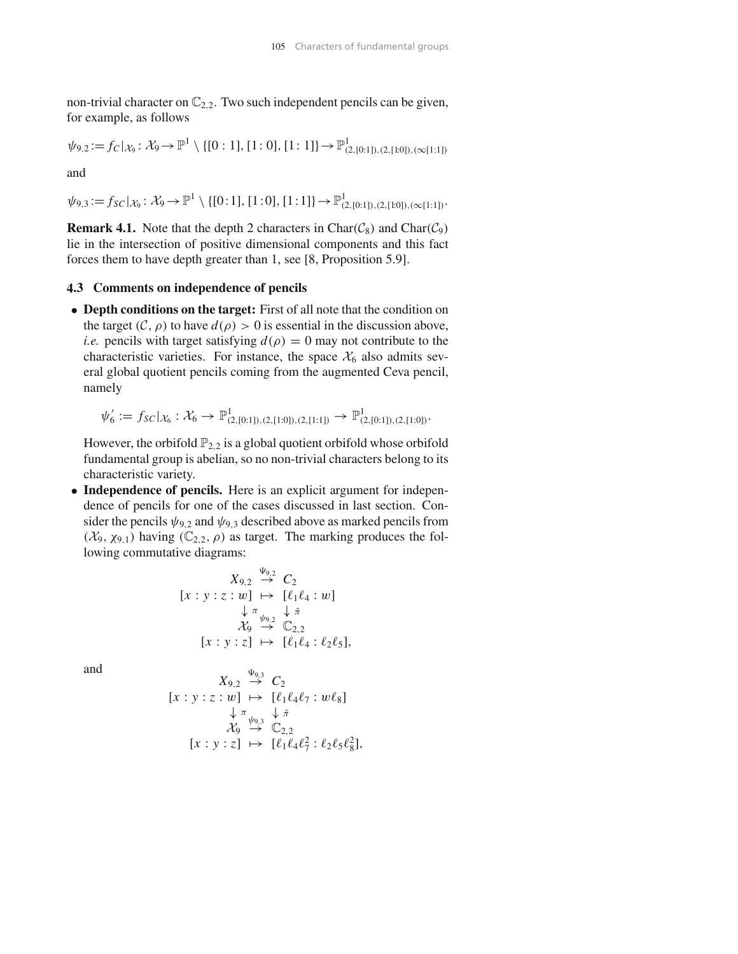non-trivial character on  $\mathbb{C}_{2,2}$ . Two such independent pencils can be given, for example, as follows

$$
\psi_{9,2} := f_C|_{\mathcal{X}_9} : \mathcal{X}_9 \to \mathbb{P}^1 \setminus \{ [0:1], [1:0], [1:1] \} \to \mathbb{P}^1_{(2,[0:1]), (2,[1:0]), (\infty[1:1])}
$$

and

 $\psi_{9,3} := f_{SC}|_{\mathcal{X}_9} : \mathcal{X}_9 \to \mathbb{P}^1 \setminus \{[0:1], [1:0], [1:1]\} \to \mathbb{P}^1_{(2,[0:1]), (2,[1:0]), (\infty[1:1])}.$ 

**Remark 4.1.** Note that the depth 2 characters in Char $(\mathcal{C}_8)$  and Char $(\mathcal{C}_9)$ lie in the intersection of positive dimensional components and this fact forces them to have depth greater than 1, see [8, Proposition 5.9].

#### **4.3 Comments on independence of pencils**

• **Depth conditions on the target:** First of all note that the condition on the target  $(C, \rho)$  to have  $d(\rho) > 0$  is essential in the discussion above, *i.e.* pencils with target satisfying  $d(\rho) = 0$  may not contribute to the characteristic varieties. For instance, the space  $\mathcal{X}_6$  also admits several global quotient pencils coming from the augmented Ceva pencil, namely

$$
\psi_6' := f_{SC}|_{\mathcal{X}_6} : \mathcal{X}_6 \to \mathbb{P}^1_{(2,[0:1]), (2,[1:0]), (2,[1:1])} \to \mathbb{P}^1_{(2,[0:1]), (2,[1:0])}.
$$

However, the orbifold  $\mathbb{P}_{2,2}$  is a global quotient orbifold whose orbifold fundamental group is abelian, so no non-trivial characters belong to its characteristic variety.

• **Independence of pencils.** Here is an explicit argument for independence of pencils for one of the cases discussed in last section. Consider the pencils  $\psi_{9,2}$  and  $\psi_{9,3}$  described above as marked pencils from *(* $X$ <sub>9</sub>,  $\chi$ <sub>9,1</sub>*)* having *(* $\mathbb{C}_{2,2}$ *,*  $ρ$ *)* as target. The marking produces the following commutative diagrams:

$$
X_{9,2} \xrightarrow{\Psi_{9,2}} C_2
$$
  
\n
$$
[x:y:z:w] \mapsto [\ell_1\ell_4:w]
$$
  
\n
$$
\downarrow \pi \atop \mathcal{X}_9 \xrightarrow{\Psi_{9,2}} \mathbb{C}_{2,2}
$$
  
\n
$$
[x:y:z] \mapsto [\ell_1\ell_4:\ell_2\ell_5],
$$

and

$$
X_{9,2} \stackrel{\Psi_{9,3}}{\rightarrow} C_2
$$
  
\n
$$
[x:y:z:w] \mapsto [\ell_1\ell_4\ell_7:w\ell_8]
$$
  
\n
$$
\downarrow \pi \downarrow \tilde{\pi}
$$
  
\n
$$
\chi_9 \stackrel{\Psi_{9,3}}{\rightarrow} \mathbb{C}_{2,2}
$$
  
\n
$$
[x:y:z] \mapsto [\ell_1\ell_4\ell_7^2:\ell_2\ell_5\ell_8^2],
$$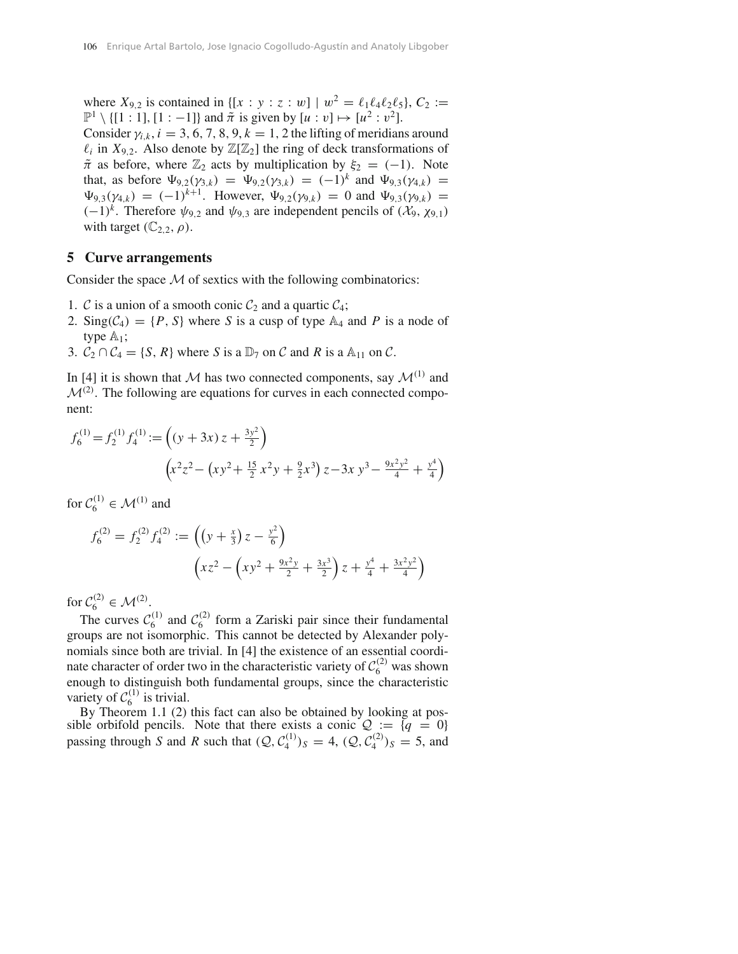where  $X_{9,2}$  is contained in  $\{ [x : y : z : w] \mid w^2 = \ell_1 \ell_4 \ell_2 \ell_5 \}, C_2 :=$  $\mathbb{P}^1 \setminus \{ [1:1], [1:-1] \}$  and  $\tilde{\pi}$  is given by  $[u:v] \mapsto [u^2:v^2]$ . Consider  $\gamma_{i,k}$ ,  $i = 3, 6, 7, 8, 9, k = 1, 2$  the lifting of meridians around  $\ell_i$  in  $X_{9,2}$ . Also denote by  $\mathbb{Z}[\mathbb{Z}_2]$  the ring of deck transformations of  $\tilde{\pi}$  as before, where  $\mathbb{Z}_2$  acts by multiplication by  $\xi_2 = (-1)$ . Note that, as before  $\Psi_{9,2}(\gamma_{3,k}) = \Psi_{9,2}(\gamma_{3,k}) = (-1)^k$  and  $\Psi_{9,3}(\gamma_{4,k}) =$  $\Psi_{9,3}(\gamma_{4,k}) = (-1)^{k+1}$ . However,  $\Psi_{9,2}(\gamma_{9,k}) = 0$  and  $\Psi_{9,3}(\gamma_{9,k}) =$ *(*−1*)*<sup>*k*</sup>. Therefore  $ψ_{9,2}$  and  $ψ_{9,3}$  are independent pencils of  $(X_9, \chi_{9,1})$ with target  $(\mathbb{C}_{2,2}, \rho)$ .

#### **5 Curve arrangements**

Consider the space *M* of sextics with the following combinatorics:

- 1. *C* is a union of a smooth conic  $C_2$  and a quartic  $C_4$ ;
- 2. Sing $(C_4) = \{P, S\}$  where *S* is a cusp of type  $\mathbb{A}_4$  and *P* is a node of type  $\mathbb{A}_1$ ;
- 3.  $\mathcal{C}_2 \cap \mathcal{C}_4 = \{S, R\}$  where *S* is a  $\mathbb{D}_7$  on *C* and *R* is a  $\mathbb{A}_{11}$  on *C*.

In [4] it is shown that *M* has two connected components, say  $\mathcal{M}^{(1)}$  and  $M^{(2)}$ . The following are equations for curves in each connected component:

$$
f_6^{(1)} = f_2^{(1)} f_4^{(1)} := \left( (y + 3x) z + \frac{3y^2}{2} \right)
$$

$$
\left( x^2 z^2 - \left( x y^2 + \frac{15}{2} x^2 y + \frac{9}{2} x^3 \right) z - 3x y^3 - \frac{9x^2 y^2}{4} + \frac{y^4}{4} \right)
$$

for  $C_6^{(1)} \in \mathcal{M}^{(1)}$  and

$$
f_6^{(2)} = f_2^{(2)} f_4^{(2)} := \left( \left( y + \frac{x}{3} \right) z - \frac{y^2}{6} \right)
$$

$$
\left( xz^2 - \left( xy^2 + \frac{9x^2y}{2} + \frac{3x^3}{2} \right) z + \frac{y^4}{4} + \frac{3x^2y^2}{4} \right)
$$

for  $C_6^{(2)} \in \mathcal{M}^{(2)}$ .

The curves  $C_6^{(1)}$  and  $C_6^{(2)}$  form a Zariski pair since their fundamental groups are not isomorphic. This cannot be detected by Alexander polynomials since both are trivial. In [4] the existence of an essential coordinate character of order two in the characteristic variety of  $C_6^{(2)}$  was shown enough to distinguish both fundamental groups, since the characteristic variety of  $C_6^{(1)}$  is trivial.

By Theorem 1.1 (2) this fact can also be obtained by looking at possible orbifold pencils. Note that there exists a conic  $\mathcal{Q} := \{q = 0\}$ passing through *S* and *R* such that  $(Q, C_4^{(1)})_S = 4$ ,  $(Q, C_4^{(2)})_S = 5$ , and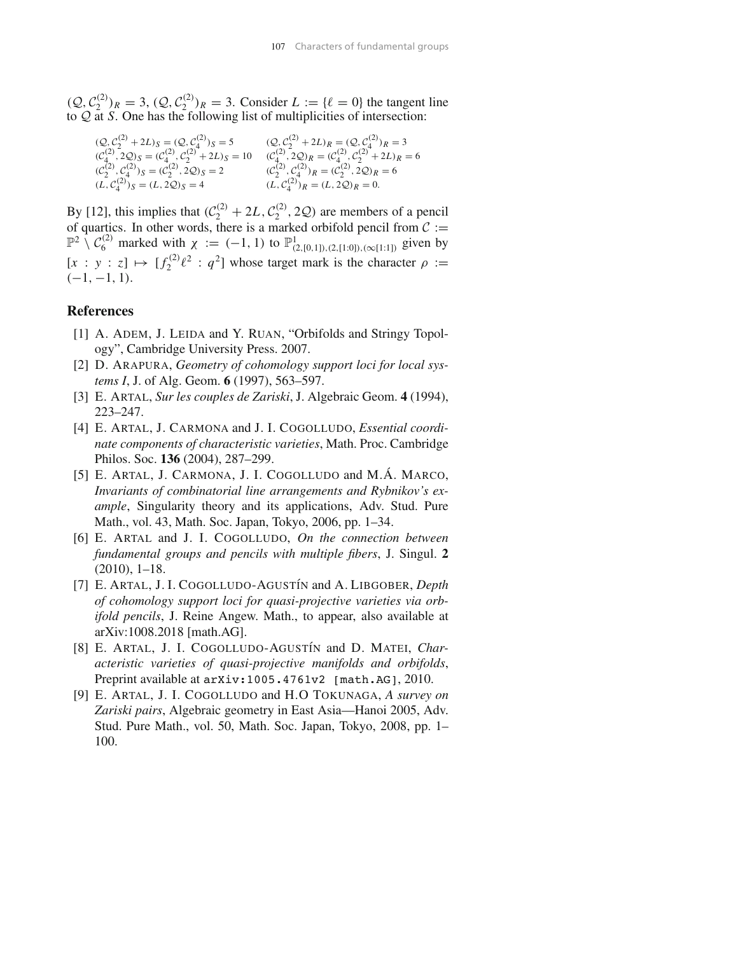$(Q, C_2^{(2)})_R = 3$ ,  $(Q, C_2^{(2)})_R = 3$ . Consider  $L := \{ \ell = 0 \}$  the tangent line to *Q* at *S*. One has the following list of multiplicities of intersection:

$$
(Q, C_2^{(2)} + 2L)_S = (Q, C_4^{(2)})_S = 5
$$
  
\n
$$
(C_4^{(2)}, 2Q)_S = (C_4^{(2)}, C_2^{(2)} + 2L)_S = 10
$$
  
\n
$$
(C_4^{(2)}, 2Q)_R = (C_4^{(2)}, C_2^{(2)} + 2L)_S = 10
$$
  
\n
$$
(C_4^{(2)}, 2Q)_R = (C_4^{(2)}, C_2^{(2)} + 2L)_R = 6
$$
  
\n
$$
(C_2^{(2)}, C_4^{(2)})_S = (C_2^{(2)}, 2Q)_S = 2
$$
  
\n
$$
(C_2^{(2)}, C_4^{(2)})_R = (C_2^{(2)}, 2Q)_R = 6
$$
  
\n
$$
(L, C_4^{(2)})_R = (L, 2Q)_R = 0.
$$

By [12], this implies that  $(C_2^{(2)} + 2L, C_2^{(2)}, 2Q)$  are members of a pencil of quartics. In other words, there is a marked orbifold pencil from  $C :=$  $\mathbb{P}^2 \setminus C_6^{(2)}$  marked with  $\chi := (-1, 1)$  to  $\mathbb{P}^1_{(2, [0,1]), (2, [1:0]), (\infty[1:1])}$  given by  $[x : y : z] \mapsto [f_2^{(2)} \ell^2 : q^2]$  whose target mark is the character  $\rho :=$ *(*−1*,* −1*,* 1*)*.

# **References**

- [1] A. ADEM, J. LEIDA and Y. RUAN, "Orbifolds and Stringy Topology", Cambridge University Press. 2007.
- [2] D. ARAPURA, *Geometry of cohomology support loci for local systems I*, J. of Alg. Geom. **6** (1997), 563–597.
- [3] E. ARTAL, *Sur les couples de Zariski*, J. Algebraic Geom. **4** (1994), 223–247.
- [4] E. ARTAL, J. CARMONA and J. I. COGOLLUDO, *Essential coordinate components of characteristic varieties*, Math. Proc. Cambridge Philos. Soc. **136** (2004), 287–299.
- [5] E. ARTAL, J. CARMONA, J. I. COGOLLUDO and M.Á. MARCO, *Invariants of combinatorial line arrangements and Rybnikov's example*, Singularity theory and its applications, Adv. Stud. Pure Math., vol. 43, Math. Soc. Japan, Tokyo, 2006, pp. 1–34.
- [6] E. ARTAL and J. I. COGOLLUDO, *On the connection between fundamental groups and pencils with multiple fibers*, J. Singul. **2** (2010), 1–18.
- [7] E. ARTAL, J. I. COGOLLUDO-AGUST´IN and A. LIBGOBER, *Depth of cohomology support loci for quasi-projective varieties via orbifold pencils*, J. Reine Angew. Math., to appear, also available at arXiv:1008.2018 [math.AG].
- [8] E. ARTAL, J. I. COGOLLUDO-AGUSTÍN and D. MATEI, *Characteristic varieties of quasi-projective manifolds and orbifolds*, Preprint available at  $arxiv:1005.4761v2$  [math.AG], 2010.
- [9] E. ARTAL, J. I. COGOLLUDO and H.O TOKUNAGA, *A survey on Zariski pairs*, Algebraic geometry in East Asia—Hanoi 2005, Adv. Stud. Pure Math., vol. 50, Math. Soc. Japan, Tokyo, 2008, pp. 1– 100.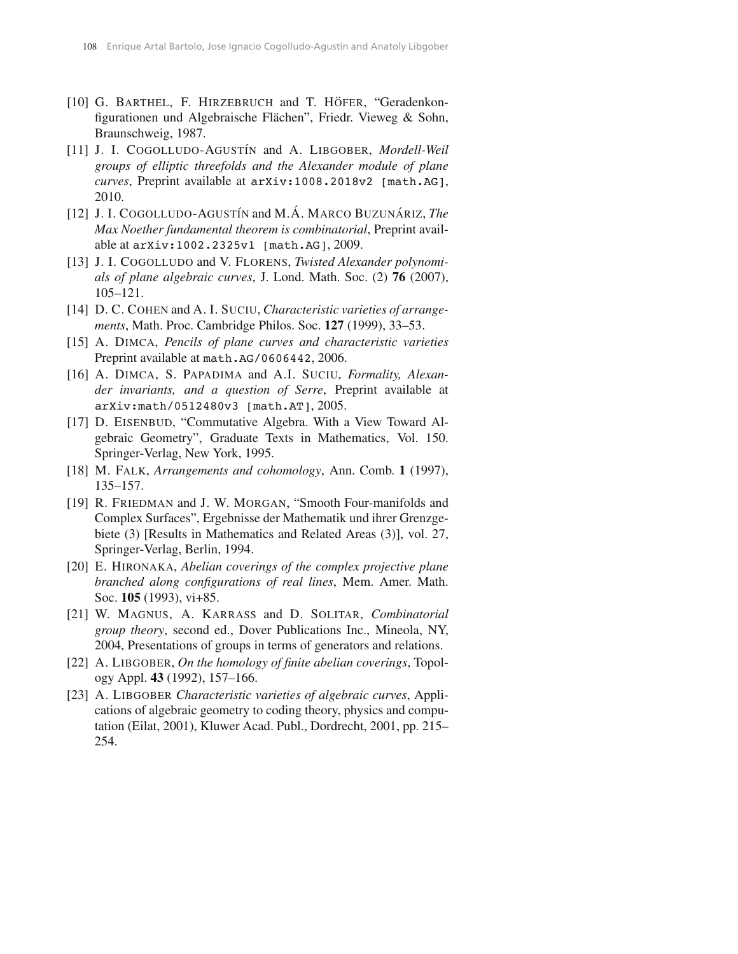- [10] G. BARTHEL, F. HIRZEBRUCH and T. HÖFER, "Geradenkonfigurationen und Algebraische Flächen", Friedr. Vieweg & Sohn, Braunschweig, 1987.
- [11] J. I. COGOLLUDO-AGUSTÍN and A. LIBGOBER, *Mordell-Weil groups of elliptic threefolds and the Alexander module of plane curves*, Preprint available at arXiv:1008.2018v2 [math.AG], 2010.
- [12] J. I. COGOLLUDO-AGUSTÍN and M.Á. MARCO BUZUNÁRIZ, *The Max Noether fundamental theorem is combinatorial*, Preprint available at arXiv:1002.2325v1 [math.AG], 2009.
- [13] J. I. COGOLLUDO and V. FLORENS, *Twisted Alexander polynomials of plane algebraic curves*, J. Lond. Math. Soc. (2) **76** (2007), 105–121.
- [14] D. C. COHEN and A. I. SUCIU, *Characteristic varieties of arrangements*, Math. Proc. Cambridge Philos. Soc. **127** (1999), 33–53.
- [15] A. DIMCA, *Pencils of plane curves and characteristic varieties* Preprint available at math.AG/0606442, 2006.
- [16] A. DIMCA, S. PAPADIMA and A.I. SUCIU, *Formality, Alexander invariants, and a question of Serre*, Preprint available at arXiv:math/0512480v3 [math.AT], 2005.
- [17] D. EISENBUD, "Commutative Algebra. With a View Toward Algebraic Geometry", Graduate Texts in Mathematics, Vol. 150. Springer-Verlag, New York, 1995.
- [18] M. FALK, *Arrangements and cohomology*, Ann. Comb. **1** (1997), 135–157.
- [19] R. FRIEDMAN and J. W. MORGAN, "Smooth Four-manifolds and Complex Surfaces", Ergebnisse der Mathematik und ihrer Grenzgebiete (3) [Results in Mathematics and Related Areas (3)], vol. 27, Springer-Verlag, Berlin, 1994.
- [20] E. HIRONAKA, *Abelian coverings of the complex projective plane branched along configurations of real lines*, Mem. Amer. Math. Soc. **105** (1993), vi+85.
- [21] W. MAGNUS, A. KARRASS and D. SOLITAR, *Combinatorial group theory*, second ed., Dover Publications Inc., Mineola, NY, 2004, Presentations of groups in terms of generators and relations.
- [22] A. LIBGOBER, *On the homology of finite abelian coverings*, Topology Appl. **43** (1992), 157–166.
- [23] A. LIBGOBER *Characteristic varieties of algebraic curves*, Applications of algebraic geometry to coding theory, physics and computation (Eilat, 2001), Kluwer Acad. Publ., Dordrecht, 2001, pp. 215– 254.